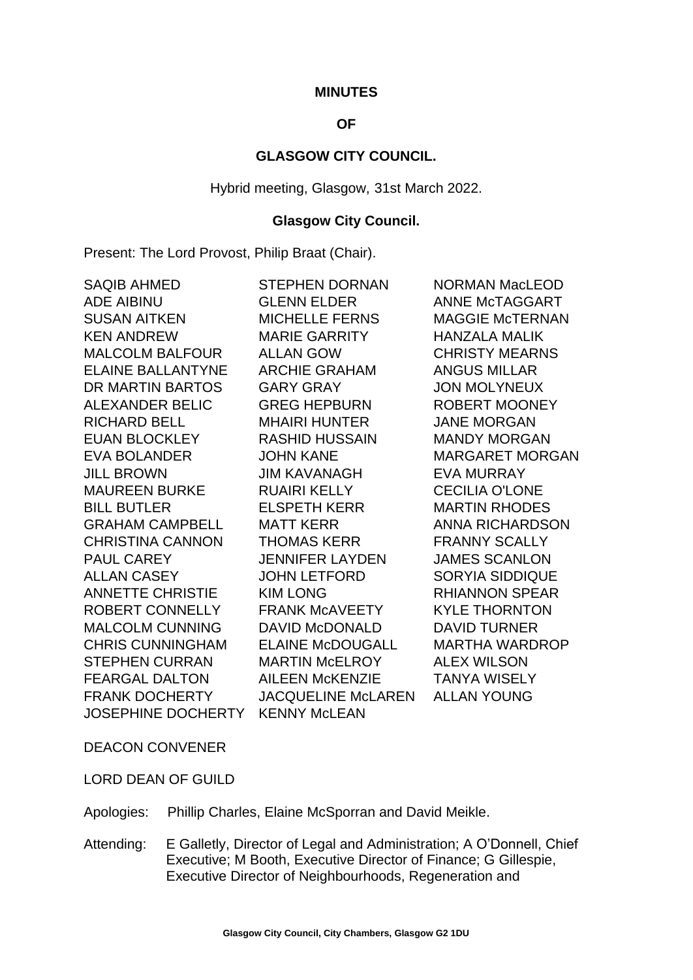#### **MINUTES**

# **OF**

### **GLASGOW CITY COUNCIL.**

Hybrid meeting, Glasgow, 31st March 2022.

#### **Glasgow City Council.**

Present: The Lord Provost, Philip Braat (Chair).

| <b>SAQIB AHMED</b>       | <b>STEPHEN DORNAN</b>     | <b>NORMAN MacLEOD</b>  |
|--------------------------|---------------------------|------------------------|
| <b>ADE AIBINU</b>        | <b>GLENN ELDER</b>        | <b>ANNE McTAGGART</b>  |
| <b>SUSAN AITKEN</b>      | <b>MICHELLE FERNS</b>     | <b>MAGGIE McTERNAN</b> |
| <b>KEN ANDREW</b>        | <b>MARIE GARRITY</b>      | <b>HANZALA MALIK</b>   |
| <b>MALCOLM BALFOUR</b>   | <b>ALLAN GOW</b>          | <b>CHRISTY MEARNS</b>  |
| <b>ELAINE BALLANTYNE</b> | <b>ARCHIE GRAHAM</b>      | <b>ANGUS MILLAR</b>    |
| DR MARTIN BARTOS         | <b>GARY GRAY</b>          | <b>JON MOLYNEUX</b>    |
| <b>ALEXANDER BELIC</b>   | <b>GREG HEPBURN</b>       | <b>ROBERT MOONEY</b>   |
| <b>RICHARD BELL</b>      | <b>MHAIRI HUNTER</b>      | <b>JANE MORGAN</b>     |
| <b>EUAN BLOCKLEY</b>     | <b>RASHID HUSSAIN</b>     | <b>MANDY MORGAN</b>    |
| <b>EVA BOLANDER</b>      | <b>JOHN KANE</b>          | <b>MARGARET MORGAN</b> |
| <b>JILL BROWN</b>        | JIM KAVANAGH              | <b>EVA MURRAY</b>      |
| <b>MAUREEN BURKE</b>     | <b>RUAIRI KELLY</b>       | <b>CECILIA O'LONE</b>  |
| <b>BILL BUTLER</b>       | <b>ELSPETH KERR</b>       | <b>MARTIN RHODES</b>   |
| <b>GRAHAM CAMPBELL</b>   | <b>MATT KERR</b>          | <b>ANNA RICHARDSON</b> |
| <b>CHRISTINA CANNON</b>  | <b>THOMAS KERR</b>        | <b>FRANNY SCALLY</b>   |
| PAUL CAREY               | <b>JENNIFER LAYDEN</b>    | <b>JAMES SCANLON</b>   |
| <b>ALLAN CASEY</b>       | <b>JOHN LETFORD</b>       | <b>SORYIA SIDDIQUE</b> |
| <b>ANNETTE CHRISTIE</b>  | <b>KIM LONG</b>           | <b>RHIANNON SPEAR</b>  |
| ROBERT CONNELLY          | <b>FRANK MCAVEETY</b>     | <b>KYLE THORNTON</b>   |
| <b>MALCOLM CUNNING</b>   | <b>DAVID McDONALD</b>     | <b>DAVID TURNER</b>    |
| <b>CHRIS CUNNINGHAM</b>  | <b>ELAINE McDOUGALL</b>   | <b>MARTHA WARDROP</b>  |
| <b>STEPHEN CURRAN</b>    | <b>MARTIN McELROY</b>     | <b>ALEX WILSON</b>     |
| <b>FEARGAL DALTON</b>    | <b>AILEEN McKENZIE</b>    | <b>TANYA WISELY</b>    |
| <b>FRANK DOCHERTY</b>    | <b>JACQUELINE McLAREN</b> | <b>ALLAN YOUNG</b>     |
| JOSEPHINE DOCHERTY       | <b>KENNY McLEAN</b>       |                        |

DEACON CONVENER

LORD DEAN OF GUILD

Apologies: Phillip Charles, Elaine McSporran and David Meikle.

Attending: E Galletly, Director of Legal and Administration; A O'Donnell, Chief Executive; M Booth, Executive Director of Finance; G Gillespie, Executive Director of Neighbourhoods, Regeneration and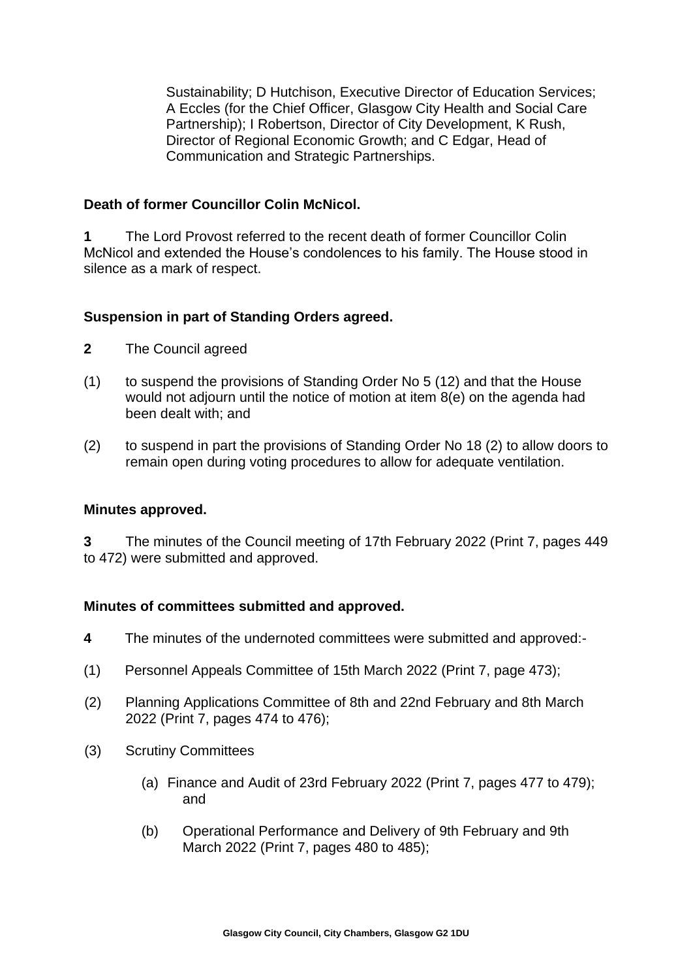Sustainability; D Hutchison, Executive Director of Education Services; A Eccles (for the Chief Officer, Glasgow City Health and Social Care Partnership); I Robertson, Director of City Development, K Rush, Director of Regional Economic Growth; and C Edgar, Head of Communication and Strategic Partnerships.

### **Death of former Councillor Colin McNicol.**

**1** The Lord Provost referred to the recent death of former Councillor Colin McNicol and extended the House's condolences to his family. The House stood in silence as a mark of respect.

## **Suspension in part of Standing Orders agreed.**

- **2** The Council agreed
- (1) to suspend the provisions of Standing Order No 5 (12) and that the House would not adjourn until the notice of motion at item 8(e) on the agenda had been dealt with; and
- (2) to suspend in part the provisions of Standing Order No 18 (2) to allow doors to remain open during voting procedures to allow for adequate ventilation.

### **Minutes approved.**

**3** The minutes of the Council meeting of 17th February 2022 (Print 7, pages 449 to 472) were submitted and approved.

### **Minutes of committees submitted and approved.**

- **4** The minutes of the undernoted committees were submitted and approved:-
- (1) Personnel Appeals Committee of 15th March 2022 (Print 7, page 473);
- (2) Planning Applications Committee of 8th and 22nd February and 8th March 2022 (Print 7, pages 474 to 476);
- (3) Scrutiny Committees
	- (a) Finance and Audit of 23rd February 2022 (Print 7, pages 477 to 479); and
	- (b) Operational Performance and Delivery of 9th February and 9th March 2022 (Print 7, pages 480 to 485);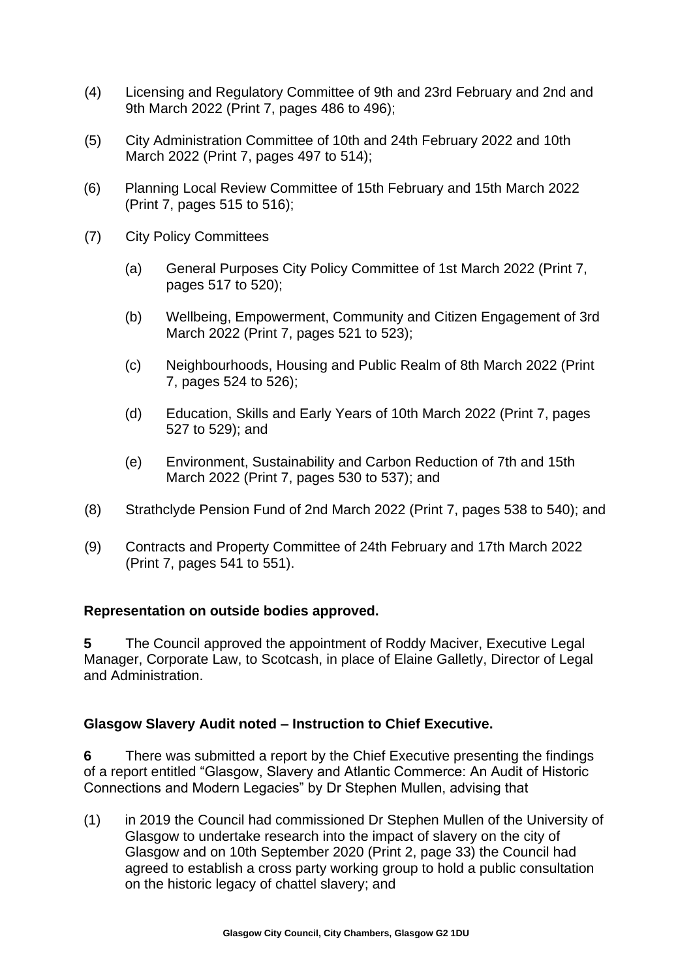- (4) Licensing and Regulatory Committee of 9th and 23rd February and 2nd and 9th March 2022 (Print 7, pages 486 to 496);
- (5) City Administration Committee of 10th and 24th February 2022 and 10th March 2022 (Print 7, pages 497 to 514);
- (6) Planning Local Review Committee of 15th February and 15th March 2022 (Print 7, pages 515 to 516);
- (7) City Policy Committees
	- (a) General Purposes City Policy Committee of 1st March 2022 (Print 7, pages 517 to 520);
	- (b) Wellbeing, Empowerment, Community and Citizen Engagement of 3rd March 2022 (Print 7, pages 521 to 523);
	- (c) Neighbourhoods, Housing and Public Realm of 8th March 2022 (Print 7, pages 524 to 526);
	- (d) Education, Skills and Early Years of 10th March 2022 (Print 7, pages 527 to 529); and
	- (e) Environment, Sustainability and Carbon Reduction of 7th and 15th March 2022 (Print 7, pages 530 to 537); and
- (8) Strathclyde Pension Fund of 2nd March 2022 (Print 7, pages 538 to 540); and
- (9) Contracts and Property Committee of 24th February and 17th March 2022 (Print 7, pages 541 to 551).

### **Representation on outside bodies approved.**

**5** The Council approved the appointment of Roddy Maciver, Executive Legal Manager, Corporate Law, to Scotcash, in place of Elaine Galletly, Director of Legal and Administration.

### **Glasgow Slavery Audit noted – Instruction to Chief Executive.**

**6** There was submitted a report by the Chief Executive presenting the findings of a report entitled "Glasgow, Slavery and Atlantic Commerce: An Audit of Historic Connections and Modern Legacies" by Dr Stephen Mullen, advising that

(1) in 2019 the Council had commissioned Dr Stephen Mullen of the University of Glasgow to undertake research into the impact of slavery on the city of Glasgow and on 10th September 2020 (Print 2, page 33) the Council had agreed to establish a cross party working group to hold a public consultation on the historic legacy of chattel slavery; and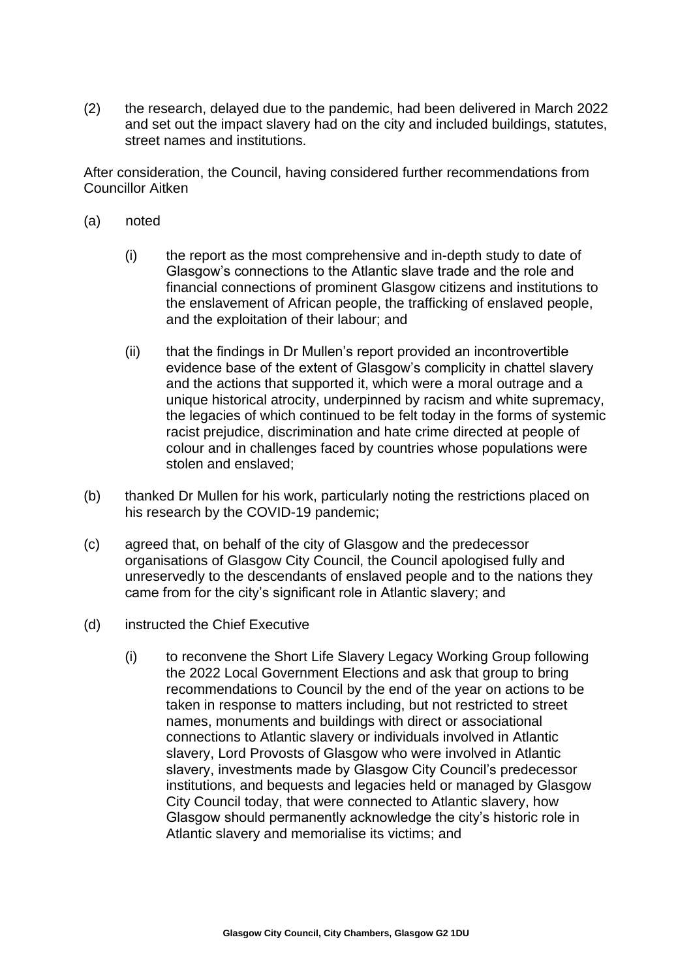(2) the research, delayed due to the pandemic, had been delivered in March 2022 and set out the impact slavery had on the city and included buildings, statutes, street names and institutions.

After consideration, the Council, having considered further recommendations from Councillor Aitken

- (a) noted
	- (i) the report as the most comprehensive and in-depth study to date of Glasgow's connections to the Atlantic slave trade and the role and financial connections of prominent Glasgow citizens and institutions to the enslavement of African people, the trafficking of enslaved people, and the exploitation of their labour; and
	- (ii) that the findings in Dr Mullen's report provided an incontrovertible evidence base of the extent of Glasgow's complicity in chattel slavery and the actions that supported it, which were a moral outrage and a unique historical atrocity, underpinned by racism and white supremacy, the legacies of which continued to be felt today in the forms of systemic racist prejudice, discrimination and hate crime directed at people of colour and in challenges faced by countries whose populations were stolen and enslaved;
- (b) thanked Dr Mullen for his work, particularly noting the restrictions placed on his research by the COVID-19 pandemic;
- (c) agreed that, on behalf of the city of Glasgow and the predecessor organisations of Glasgow City Council, the Council apologised fully and unreservedly to the descendants of enslaved people and to the nations they came from for the city's significant role in Atlantic slavery; and
- (d) instructed the Chief Executive
	- (i) to reconvene the Short Life Slavery Legacy Working Group following the 2022 Local Government Elections and ask that group to bring recommendations to Council by the end of the year on actions to be taken in response to matters including, but not restricted to street names, monuments and buildings with direct or associational connections to Atlantic slavery or individuals involved in Atlantic slavery, Lord Provosts of Glasgow who were involved in Atlantic slavery, investments made by Glasgow City Council's predecessor institutions, and bequests and legacies held or managed by Glasgow City Council today, that were connected to Atlantic slavery, how Glasgow should permanently acknowledge the city's historic role in Atlantic slavery and memorialise its victims; and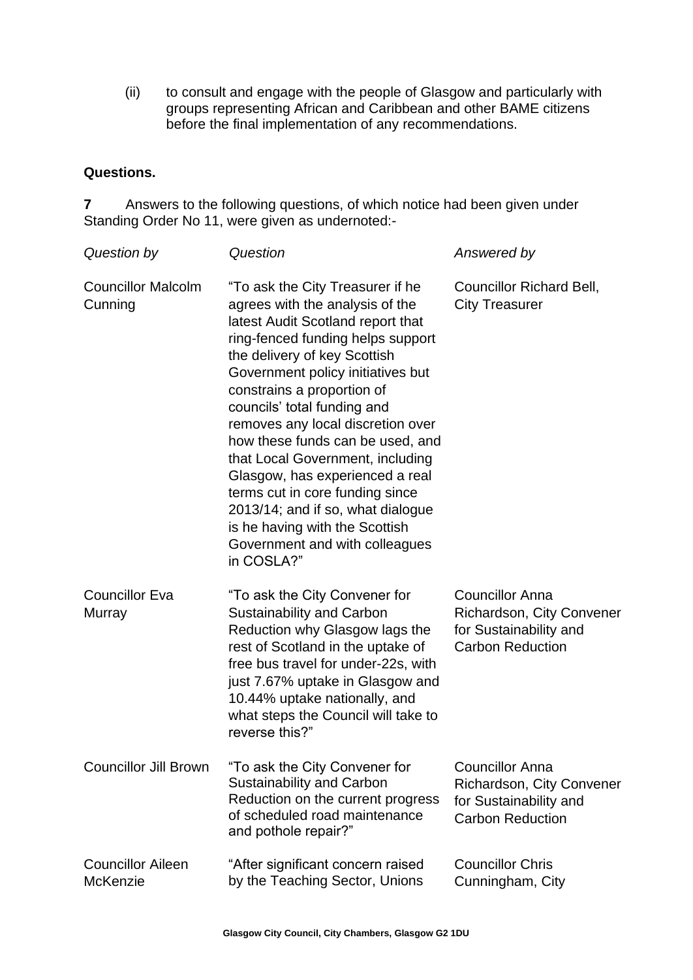(ii) to consult and engage with the people of Glasgow and particularly with groups representing African and Caribbean and other BAME citizens before the final implementation of any recommendations.

#### **Questions.**

**7** Answers to the following questions, of which notice had been given under Standing Order No 11, were given as undernoted:-

| Question by                                 | Question                                                                                                                                                                                                                                                                                                                                                                                                                                                                                                                                                                                  | Answered by                                                                                              |
|---------------------------------------------|-------------------------------------------------------------------------------------------------------------------------------------------------------------------------------------------------------------------------------------------------------------------------------------------------------------------------------------------------------------------------------------------------------------------------------------------------------------------------------------------------------------------------------------------------------------------------------------------|----------------------------------------------------------------------------------------------------------|
| <b>Councillor Malcolm</b><br>Cunning        | "To ask the City Treasurer if he<br>agrees with the analysis of the<br>latest Audit Scotland report that<br>ring-fenced funding helps support<br>the delivery of key Scottish<br>Government policy initiatives but<br>constrains a proportion of<br>councils' total funding and<br>removes any local discretion over<br>how these funds can be used, and<br>that Local Government, including<br>Glasgow, has experienced a real<br>terms cut in core funding since<br>2013/14; and if so, what dialogue<br>is he having with the Scottish<br>Government and with colleagues<br>in COSLA?" | <b>Councillor Richard Bell,</b><br><b>City Treasurer</b>                                                 |
| <b>Councillor Eva</b><br>Murray             | "To ask the City Convener for<br><b>Sustainability and Carbon</b><br>Reduction why Glasgow lags the<br>rest of Scotland in the uptake of<br>free bus travel for under-22s, with<br>just 7.67% uptake in Glasgow and<br>10.44% uptake nationally, and<br>what steps the Council will take to<br>reverse this?"                                                                                                                                                                                                                                                                             | <b>Councillor Anna</b><br>Richardson, City Convener<br>for Sustainability and<br><b>Carbon Reduction</b> |
| <b>Councillor Jill Brown</b>                | "To ask the City Convener for<br><b>Sustainability and Carbon</b><br>Reduction on the current progress<br>of scheduled road maintenance<br>and pothole repair?"                                                                                                                                                                                                                                                                                                                                                                                                                           | <b>Councillor Anna</b><br>Richardson, City Convener<br>for Sustainability and<br><b>Carbon Reduction</b> |
| <b>Councillor Aileen</b><br><b>McKenzie</b> | "After significant concern raised<br>by the Teaching Sector, Unions                                                                                                                                                                                                                                                                                                                                                                                                                                                                                                                       | <b>Councillor Chris</b><br>Cunningham, City                                                              |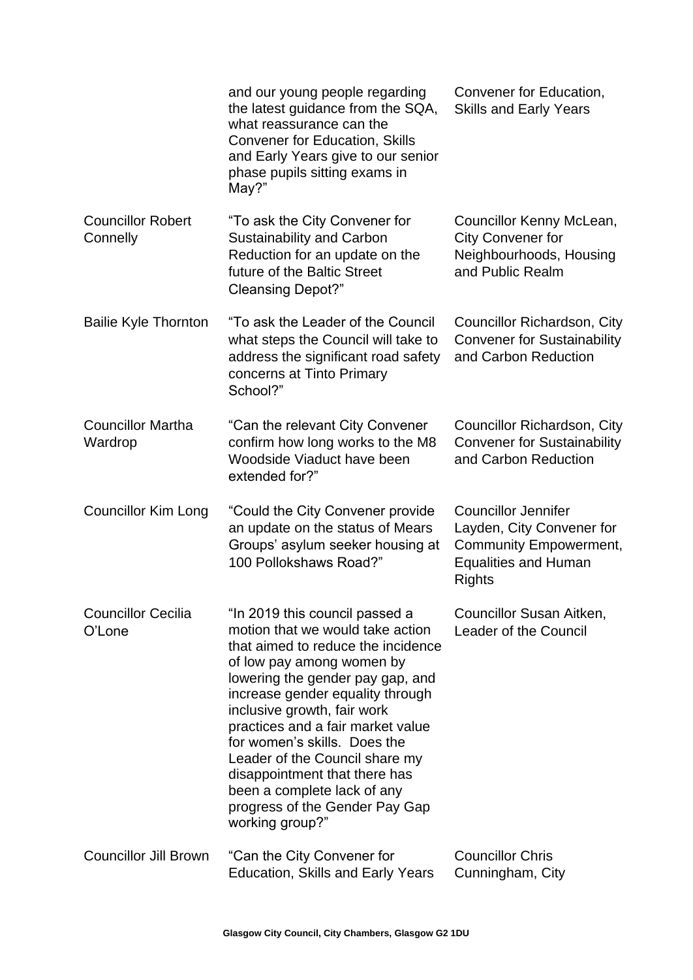|                                      | and our young people regarding<br>the latest guidance from the SQA,<br>what reassurance can the<br><b>Convener for Education, Skills</b><br>and Early Years give to our senior<br>phase pupils sitting exams in<br>May?"                                                                                                                                                                                                                                                 | Convener for Education,<br><b>Skills and Early Years</b>                                                                                 |
|--------------------------------------|--------------------------------------------------------------------------------------------------------------------------------------------------------------------------------------------------------------------------------------------------------------------------------------------------------------------------------------------------------------------------------------------------------------------------------------------------------------------------|------------------------------------------------------------------------------------------------------------------------------------------|
| <b>Councillor Robert</b><br>Connelly | "To ask the City Convener for<br><b>Sustainability and Carbon</b><br>Reduction for an update on the<br>future of the Baltic Street<br><b>Cleansing Depot?"</b>                                                                                                                                                                                                                                                                                                           | Councillor Kenny McLean,<br><b>City Convener for</b><br>Neighbourhoods, Housing<br>and Public Realm                                      |
| <b>Bailie Kyle Thornton</b>          | "To ask the Leader of the Council<br>what steps the Council will take to<br>address the significant road safety<br>concerns at Tinto Primary<br>School?"                                                                                                                                                                                                                                                                                                                 | Councillor Richardson, City<br><b>Convener for Sustainability</b><br>and Carbon Reduction                                                |
| <b>Councillor Martha</b><br>Wardrop  | "Can the relevant City Convener<br>confirm how long works to the M8<br>Woodside Viaduct have been<br>extended for?"                                                                                                                                                                                                                                                                                                                                                      | Councillor Richardson, City<br><b>Convener for Sustainability</b><br>and Carbon Reduction                                                |
| <b>Councillor Kim Long</b>           | "Could the City Convener provide<br>an update on the status of Mears<br>Groups' asylum seeker housing at<br>100 Pollokshaws Road?"                                                                                                                                                                                                                                                                                                                                       | <b>Councillor Jennifer</b><br>Layden, City Convener for<br><b>Community Empowerment,</b><br><b>Equalities and Human</b><br><b>Rights</b> |
| <b>Councillor Cecilia</b><br>O'Lone  | "In 2019 this council passed a<br>motion that we would take action<br>that aimed to reduce the incidence<br>of low pay among women by<br>lowering the gender pay gap, and<br>increase gender equality through<br>inclusive growth, fair work<br>practices and a fair market value<br>for women's skills. Does the<br>Leader of the Council share my<br>disappointment that there has<br>been a complete lack of any<br>progress of the Gender Pay Gap<br>working group?" | Councillor Susan Aitken,<br>Leader of the Council                                                                                        |
| <b>Councillor Jill Brown</b>         | "Can the City Convener for<br><b>Education, Skills and Early Years</b>                                                                                                                                                                                                                                                                                                                                                                                                   | <b>Councillor Chris</b><br>Cunningham, City                                                                                              |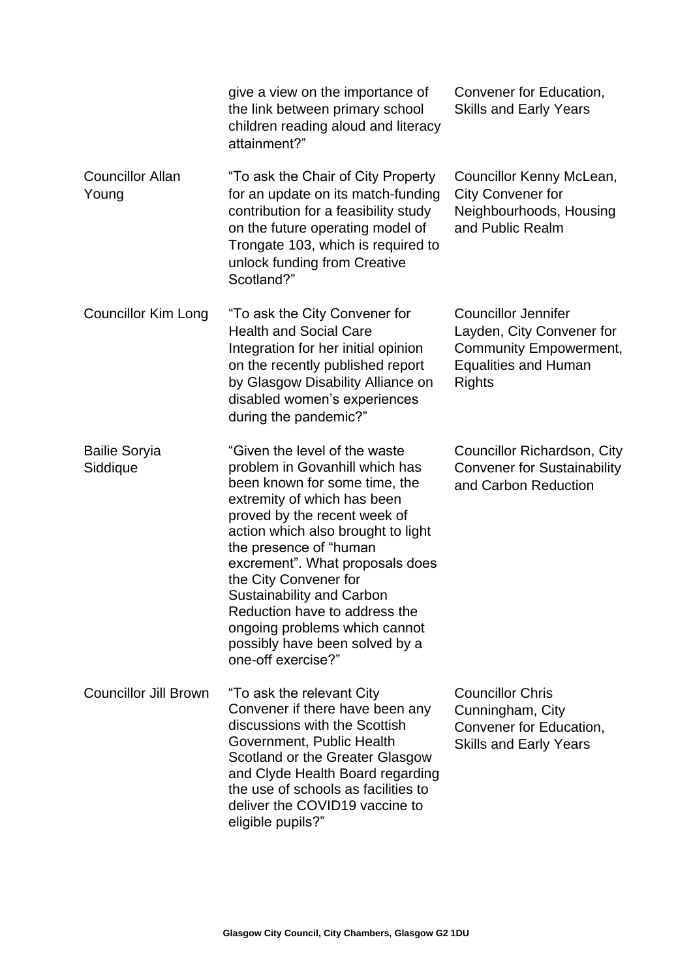|                                  | give a view on the importance of<br>the link between primary school<br>children reading aloud and literacy<br>attainment?"                                                                                                                                                                                                                                                                                                                                | Convener for Education,<br><b>Skills and Early Years</b>                                                                                 |
|----------------------------------|-----------------------------------------------------------------------------------------------------------------------------------------------------------------------------------------------------------------------------------------------------------------------------------------------------------------------------------------------------------------------------------------------------------------------------------------------------------|------------------------------------------------------------------------------------------------------------------------------------------|
| <b>Councillor Allan</b><br>Young | "To ask the Chair of City Property<br>for an update on its match-funding<br>contribution for a feasibility study<br>on the future operating model of<br>Trongate 103, which is required to<br>unlock funding from Creative<br>Scotland?"                                                                                                                                                                                                                  | Councillor Kenny McLean,<br><b>City Convener for</b><br>Neighbourhoods, Housing<br>and Public Realm                                      |
| Councillor Kim Long              | "To ask the City Convener for<br><b>Health and Social Care</b><br>Integration for her initial opinion<br>on the recently published report<br>by Glasgow Disability Alliance on<br>disabled women's experiences<br>during the pandemic?"                                                                                                                                                                                                                   | <b>Councillor Jennifer</b><br>Layden, City Convener for<br><b>Community Empowerment,</b><br><b>Equalities and Human</b><br><b>Rights</b> |
| <b>Bailie Soryia</b><br>Siddique | "Given the level of the waste<br>problem in Govanhill which has<br>been known for some time, the<br>extremity of which has been<br>proved by the recent week of<br>action which also brought to light<br>the presence of "human<br>excrement". What proposals does<br>the City Convener for<br><b>Sustainability and Carbon</b><br>Reduction have to address the<br>ongoing problems which cannot<br>possibly have been solved by a<br>one-off exercise?" | Councillor Richardson, City<br><b>Convener for Sustainability</b><br>and Carbon Reduction                                                |
| <b>Councillor Jill Brown</b>     | "To ask the relevant City<br>Convener if there have been any<br>discussions with the Scottish<br>Government, Public Health<br>Scotland or the Greater Glasgow<br>and Clyde Health Board regarding<br>the use of schools as facilities to<br>deliver the COVID19 vaccine to<br>eligible pupils?"                                                                                                                                                           | <b>Councillor Chris</b><br>Cunningham, City<br>Convener for Education,<br><b>Skills and Early Years</b>                                  |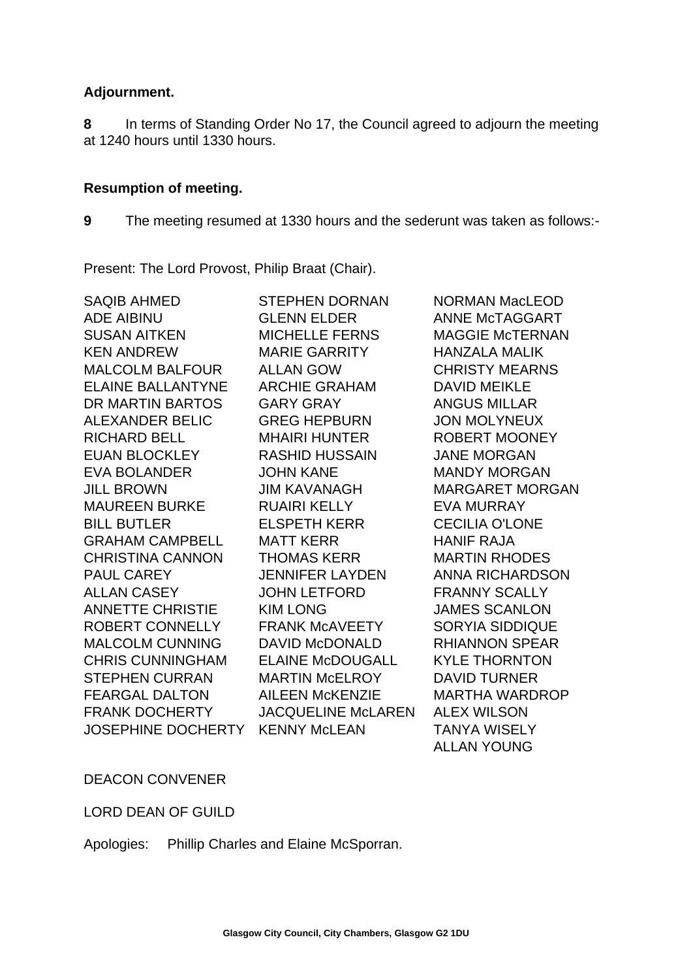## **Adjournment.**

**8** In terms of Standing Order No 17, the Council agreed to adjourn the meeting at 1240 hours until 1330 hours.

## **Resumption of meeting.**

**9** The meeting resumed at 1330 hours and the sederunt was taken as follows:-

Present: The Lord Provost, Philip Braat (Chair).

| <b>SAQIB AHMED</b>        | <b>STEPHEN DORNAN</b>     | <b>NORMAN MacLEOD</b>  |
|---------------------------|---------------------------|------------------------|
| <b>ADE AIBINU</b>         | <b>GLENN ELDER</b>        | ANNE McTAGGART         |
| <b>SUSAN AITKEN</b>       | <b>MICHELLE FERNS</b>     | <b>MAGGIE McTERNAN</b> |
| <b>KEN ANDREW</b>         | <b>MARIE GARRITY</b>      | <b>HANZALA MALIK</b>   |
| <b>MALCOLM BALFOUR</b>    | <b>ALLAN GOW</b>          | <b>CHRISTY MEARNS</b>  |
| <b>ELAINE BALLANTYNE</b>  | <b>ARCHIE GRAHAM</b>      | <b>DAVID MEIKLE</b>    |
| DR MARTIN BARTOS          | <b>GARY GRAY</b>          | <b>ANGUS MILLAR</b>    |
| <b>ALEXANDER BELIC</b>    | <b>GREG HEPBURN</b>       | <b>JON MOLYNEUX</b>    |
| <b>RICHARD BELL</b>       | <b>MHAIRI HUNTER</b>      | <b>ROBERT MOONEY</b>   |
| <b>EUAN BLOCKLEY</b>      | <b>RASHID HUSSAIN</b>     | <b>JANE MORGAN</b>     |
| <b>EVA BOLANDER</b>       | <b>JOHN KANE</b>          | <b>MANDY MORGAN</b>    |
| <b>JILL BROWN</b>         | <b>JIM KAVANAGH</b>       | <b>MARGARET MORGAN</b> |
| <b>MAUREEN BURKE</b>      | <b>RUAIRI KELLY</b>       | <b>EVA MURRAY</b>      |
| <b>BILL BUTLER</b>        | <b>ELSPETH KERR</b>       | <b>CECILIA O'LONE</b>  |
| <b>GRAHAM CAMPBELL</b>    | <b>MATT KERR</b>          | <b>HANIF RAJA</b>      |
| <b>CHRISTINA CANNON</b>   | <b>THOMAS KERR</b>        | <b>MARTIN RHODES</b>   |
| <b>PAUL CAREY</b>         | <b>JENNIFER LAYDEN</b>    | <b>ANNA RICHARDSON</b> |
| <b>ALLAN CASEY</b>        | <b>JOHN LETFORD</b>       | <b>FRANNY SCALLY</b>   |
| <b>ANNETTE CHRISTIE</b>   | <b>KIM LONG</b>           | <b>JAMES SCANLON</b>   |
| ROBERT CONNELLY           | <b>FRANK MCAVEETY</b>     | <b>SORYIA SIDDIQUE</b> |
| <b>MALCOLM CUNNING</b>    | <b>DAVID McDONALD</b>     | <b>RHIANNON SPEAR</b>  |
| <b>CHRIS CUNNINGHAM</b>   | <b>ELAINE McDOUGALL</b>   | <b>KYLE THORNTON</b>   |
| <b>STEPHEN CURRAN</b>     | <b>MARTIN McELROY</b>     | <b>DAVID TURNER</b>    |
| <b>FEARGAL DALTON</b>     | <b>AILEEN McKENZIE</b>    | <b>MARTHA WARDROP</b>  |
| <b>FRANK DOCHERTY</b>     | <b>JACQUELINE McLAREN</b> | <b>ALEX WILSON</b>     |
| <b>JOSEPHINE DOCHERTY</b> | <b>KENNY McLEAN</b>       | <b>TANYA WISELY</b>    |
|                           |                           | <b>ALLAN YOUNG</b>     |

DEACON CONVENER

LORD DEAN OF GUILD

Apologies: Phillip Charles and Elaine McSporran.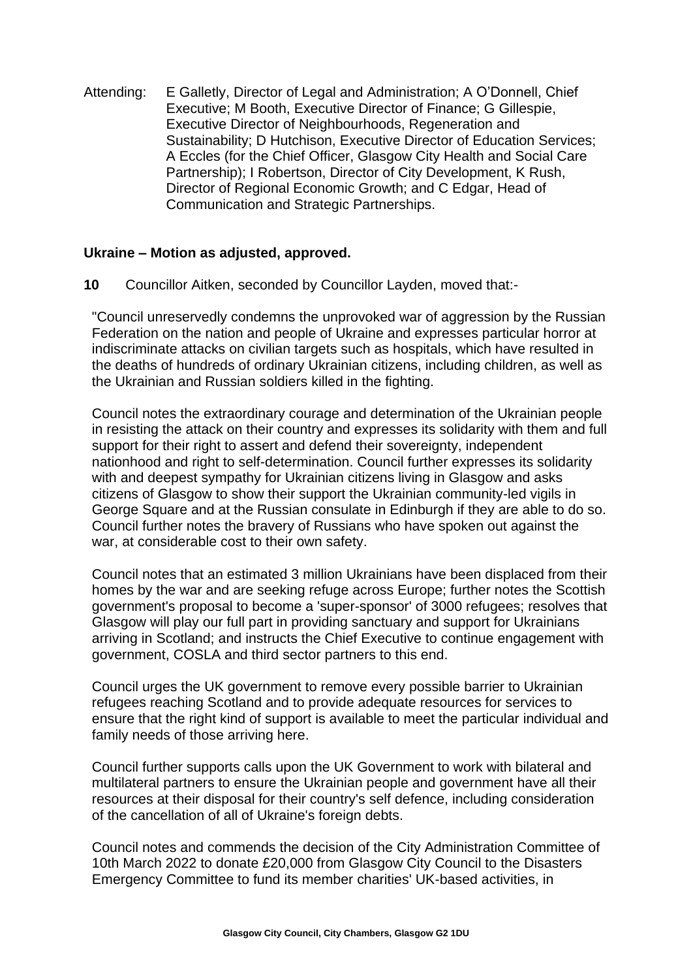Attending: E Galletly, Director of Legal and Administration; A O'Donnell, Chief Executive; M Booth, Executive Director of Finance; G Gillespie, Executive Director of Neighbourhoods, Regeneration and Sustainability; D Hutchison, Executive Director of Education Services; A Eccles (for the Chief Officer, Glasgow City Health and Social Care Partnership); I Robertson, Director of City Development, K Rush, Director of Regional Economic Growth; and C Edgar, Head of Communication and Strategic Partnerships.

#### **Ukraine – Motion as adjusted, approved.**

**10** Councillor Aitken, seconded by Councillor Layden, moved that:-

"Council unreservedly condemns the unprovoked war of aggression by the Russian Federation on the nation and people of Ukraine and expresses particular horror at indiscriminate attacks on civilian targets such as hospitals, which have resulted in the deaths of hundreds of ordinary Ukrainian citizens, including children, as well as the Ukrainian and Russian soldiers killed in the fighting.

Council notes the extraordinary courage and determination of the Ukrainian people in resisting the attack on their country and expresses its solidarity with them and full support for their right to assert and defend their sovereignty, independent nationhood and right to self-determination. Council further expresses its solidarity with and deepest sympathy for Ukrainian citizens living in Glasgow and asks citizens of Glasgow to show their support the Ukrainian community-led vigils in George Square and at the Russian consulate in Edinburgh if they are able to do so. Council further notes the bravery of Russians who have spoken out against the war, at considerable cost to their own safety.

Council notes that an estimated 3 million Ukrainians have been displaced from their homes by the war and are seeking refuge across Europe; further notes the Scottish government's proposal to become a 'super-sponsor' of 3000 refugees; resolves that Glasgow will play our full part in providing sanctuary and support for Ukrainians arriving in Scotland; and instructs the Chief Executive to continue engagement with government, COSLA and third sector partners to this end.

Council urges the UK government to remove every possible barrier to Ukrainian refugees reaching Scotland and to provide adequate resources for services to ensure that the right kind of support is available to meet the particular individual and family needs of those arriving here.

Council further supports calls upon the UK Government to work with bilateral and multilateral partners to ensure the Ukrainian people and government have all their resources at their disposal for their country's self defence, including consideration of the cancellation of all of Ukraine's foreign debts.

Council notes and commends the decision of the City Administration Committee of 10th March 2022 to donate £20,000 from Glasgow City Council to the Disasters Emergency Committee to fund its member charities' UK-based activities, in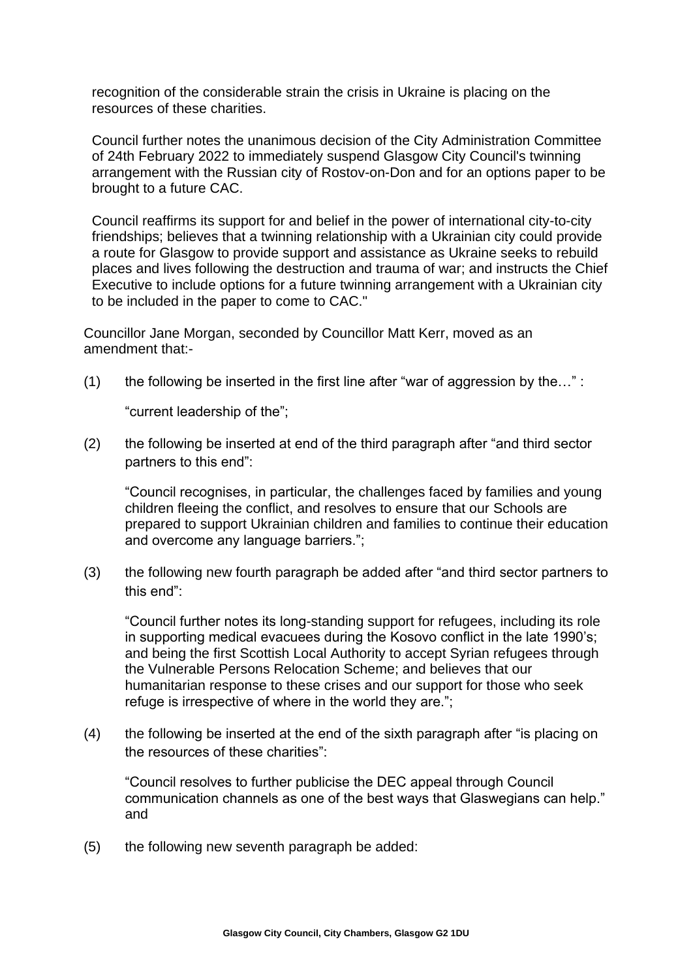recognition of the considerable strain the crisis in Ukraine is placing on the resources of these charities.

Council further notes the unanimous decision of the City Administration Committee of 24th February 2022 to immediately suspend Glasgow City Council's twinning arrangement with the Russian city of Rostov-on-Don and for an options paper to be brought to a future CAC.

Council reaffirms its support for and belief in the power of international city-to-city friendships; believes that a twinning relationship with a Ukrainian city could provide a route for Glasgow to provide support and assistance as Ukraine seeks to rebuild places and lives following the destruction and trauma of war; and instructs the Chief Executive to include options for a future twinning arrangement with a Ukrainian city to be included in the paper to come to CAC."

Councillor Jane Morgan, seconded by Councillor Matt Kerr, moved as an amendment that:-

(1) the following be inserted in the first line after "war of aggression by the..." :

"current leadership of the";

(2) the following be inserted at end of the third paragraph after "and third sector partners to this end":

"Council recognises, in particular, the challenges faced by families and young children fleeing the conflict, and resolves to ensure that our Schools are prepared to support Ukrainian children and families to continue their education and overcome any language barriers.";

(3) the following new fourth paragraph be added after "and third sector partners to this end":

"Council further notes its long-standing support for refugees, including its role in supporting medical evacuees during the Kosovo conflict in the late 1990's; and being the first Scottish Local Authority to accept Syrian refugees through the Vulnerable Persons Relocation Scheme; and believes that our humanitarian response to these crises and our support for those who seek refuge is irrespective of where in the world they are.";

(4) the following be inserted at the end of the sixth paragraph after "is placing on the resources of these charities":

"Council resolves to further publicise the DEC appeal through Council communication channels as one of the best ways that Glaswegians can help." and

(5) the following new seventh paragraph be added: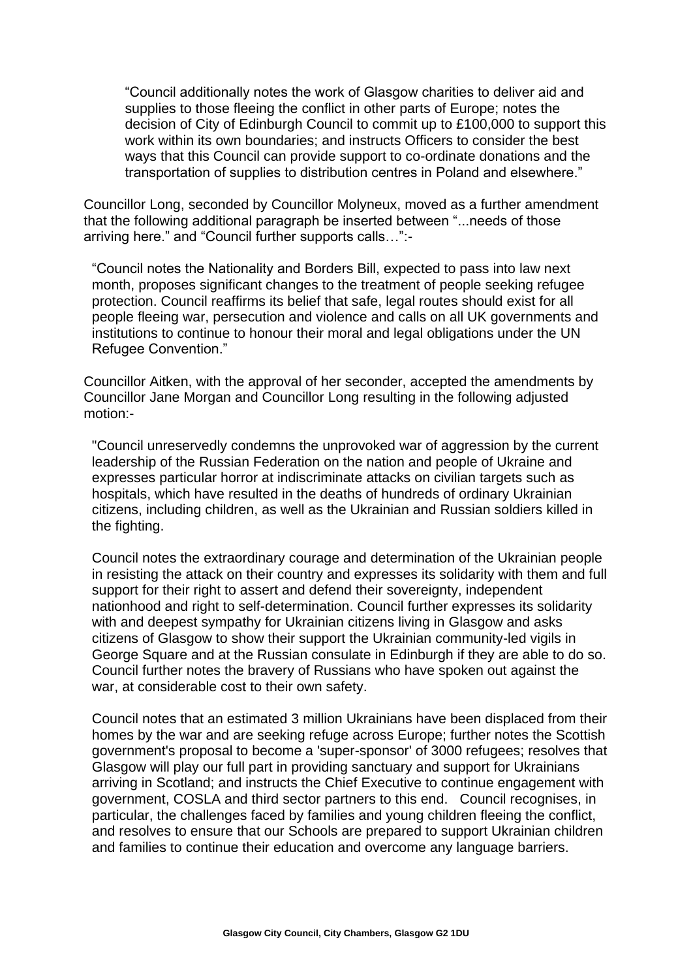"Council additionally notes the work of Glasgow charities to deliver aid and supplies to those fleeing the conflict in other parts of Europe; notes the decision of City of Edinburgh Council to commit up to £100,000 to support this work within its own boundaries; and instructs Officers to consider the best ways that this Council can provide support to co-ordinate donations and the transportation of supplies to distribution centres in Poland and elsewhere."

Councillor Long, seconded by Councillor Molyneux, moved as a further amendment that the following additional paragraph be inserted between "...needs of those arriving here." and "Council further supports calls…":-

"Council notes the Nationality and Borders Bill, expected to pass into law next month, proposes significant changes to the treatment of people seeking refugee protection. Council reaffirms its belief that safe, legal routes should exist for all people fleeing war, persecution and violence and calls on all UK governments and institutions to continue to honour their moral and legal obligations under the UN Refugee Convention."

Councillor Aitken, with the approval of her seconder, accepted the amendments by Councillor Jane Morgan and Councillor Long resulting in the following adjusted motion:-

"Council unreservedly condemns the unprovoked war of aggression by the current leadership of the Russian Federation on the nation and people of Ukraine and expresses particular horror at indiscriminate attacks on civilian targets such as hospitals, which have resulted in the deaths of hundreds of ordinary Ukrainian citizens, including children, as well as the Ukrainian and Russian soldiers killed in the fighting.

Council notes the extraordinary courage and determination of the Ukrainian people in resisting the attack on their country and expresses its solidarity with them and full support for their right to assert and defend their sovereignty, independent nationhood and right to self-determination. Council further expresses its solidarity with and deepest sympathy for Ukrainian citizens living in Glasgow and asks citizens of Glasgow to show their support the Ukrainian community-led vigils in George Square and at the Russian consulate in Edinburgh if they are able to do so. Council further notes the bravery of Russians who have spoken out against the war, at considerable cost to their own safety.

Council notes that an estimated 3 million Ukrainians have been displaced from their homes by the war and are seeking refuge across Europe; further notes the Scottish government's proposal to become a 'super-sponsor' of 3000 refugees; resolves that Glasgow will play our full part in providing sanctuary and support for Ukrainians arriving in Scotland; and instructs the Chief Executive to continue engagement with government, COSLA and third sector partners to this end. Council recognises, in particular, the challenges faced by families and young children fleeing the conflict, and resolves to ensure that our Schools are prepared to support Ukrainian children and families to continue their education and overcome any language barriers.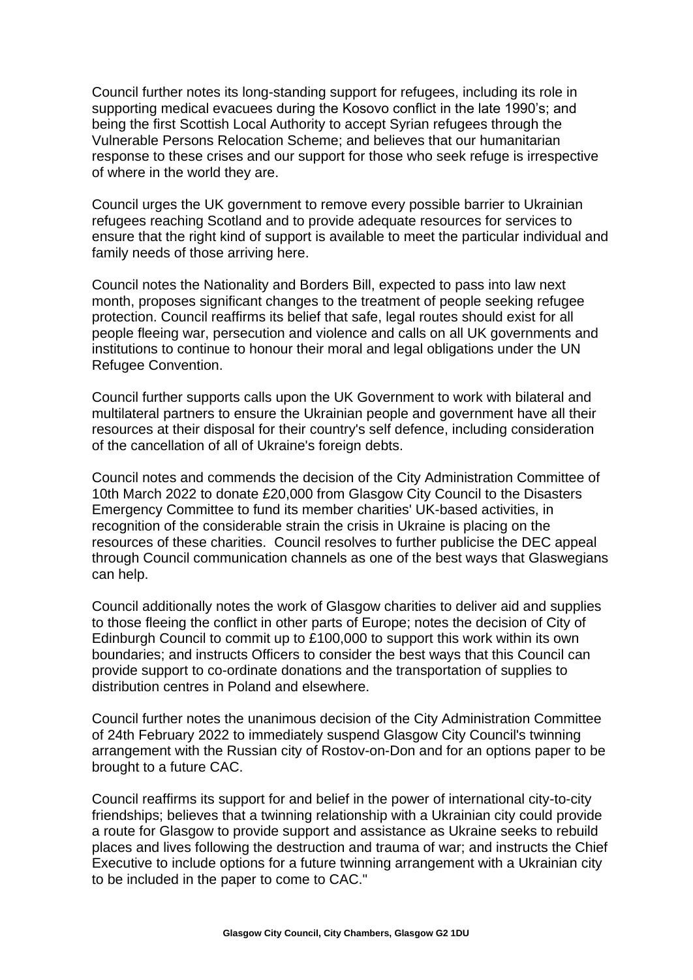Council further notes its long-standing support for refugees, including its role in supporting medical evacuees during the Kosovo conflict in the late 1990's; and being the first Scottish Local Authority to accept Syrian refugees through the Vulnerable Persons Relocation Scheme; and believes that our humanitarian response to these crises and our support for those who seek refuge is irrespective of where in the world they are.

Council urges the UK government to remove every possible barrier to Ukrainian refugees reaching Scotland and to provide adequate resources for services to ensure that the right kind of support is available to meet the particular individual and family needs of those arriving here.

Council notes the Nationality and Borders Bill, expected to pass into law next month, proposes significant changes to the treatment of people seeking refugee protection. Council reaffirms its belief that safe, legal routes should exist for all people fleeing war, persecution and violence and calls on all UK governments and institutions to continue to honour their moral and legal obligations under the UN Refugee Convention.

Council further supports calls upon the UK Government to work with bilateral and multilateral partners to ensure the Ukrainian people and government have all their resources at their disposal for their country's self defence, including consideration of the cancellation of all of Ukraine's foreign debts.

Council notes and commends the decision of the City Administration Committee of 10th March 2022 to donate £20,000 from Glasgow City Council to the Disasters Emergency Committee to fund its member charities' UK-based activities, in recognition of the considerable strain the crisis in Ukraine is placing on the resources of these charities. Council resolves to further publicise the DEC appeal through Council communication channels as one of the best ways that Glaswegians can help.

Council additionally notes the work of Glasgow charities to deliver aid and supplies to those fleeing the conflict in other parts of Europe; notes the decision of City of Edinburgh Council to commit up to £100,000 to support this work within its own boundaries; and instructs Officers to consider the best ways that this Council can provide support to co-ordinate donations and the transportation of supplies to distribution centres in Poland and elsewhere.

Council further notes the unanimous decision of the City Administration Committee of 24th February 2022 to immediately suspend Glasgow City Council's twinning arrangement with the Russian city of Rostov-on-Don and for an options paper to be brought to a future CAC.

Council reaffirms its support for and belief in the power of international city-to-city friendships; believes that a twinning relationship with a Ukrainian city could provide a route for Glasgow to provide support and assistance as Ukraine seeks to rebuild places and lives following the destruction and trauma of war; and instructs the Chief Executive to include options for a future twinning arrangement with a Ukrainian city to be included in the paper to come to CAC."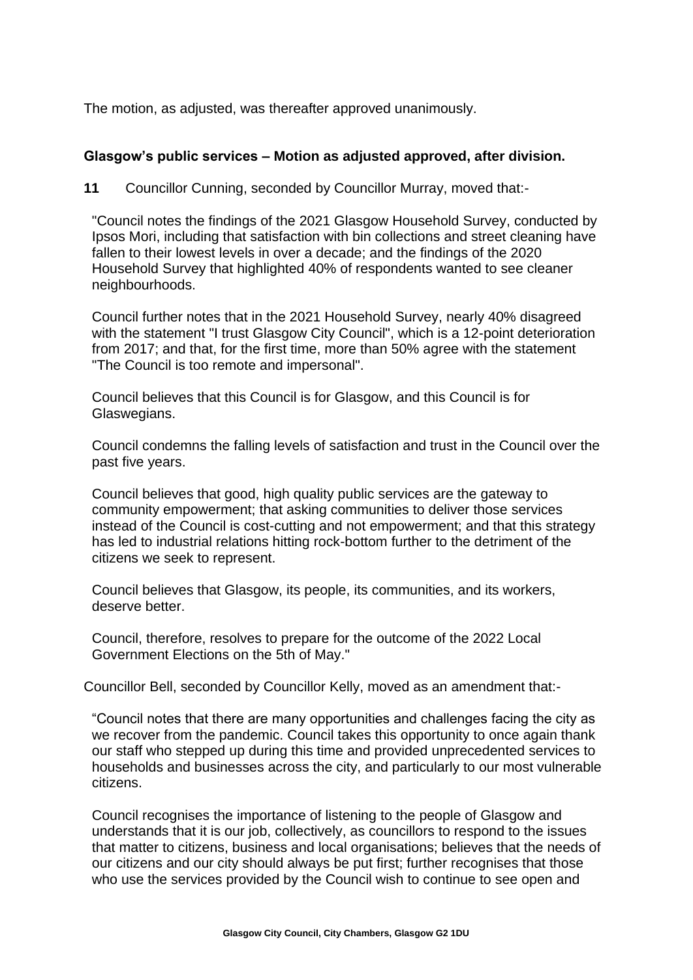The motion, as adjusted, was thereafter approved unanimously.

#### **Glasgow's public services – Motion as adjusted approved, after division.**

**11** Councillor Cunning, seconded by Councillor Murray, moved that:-

"Council notes the findings of the 2021 Glasgow Household Survey, conducted by Ipsos Mori, including that satisfaction with bin collections and street cleaning have fallen to their lowest levels in over a decade; and the findings of the 2020 Household Survey that highlighted 40% of respondents wanted to see cleaner neighbourhoods.

Council further notes that in the 2021 Household Survey, nearly 40% disagreed with the statement "I trust Glasgow City Council", which is a 12-point deterioration from 2017; and that, for the first time, more than 50% agree with the statement "The Council is too remote and impersonal".

Council believes that this Council is for Glasgow, and this Council is for Glaswegians.

Council condemns the falling levels of satisfaction and trust in the Council over the past five years.

Council believes that good, high quality public services are the gateway to community empowerment; that asking communities to deliver those services instead of the Council is cost-cutting and not empowerment; and that this strategy has led to industrial relations hitting rock-bottom further to the detriment of the citizens we seek to represent.

Council believes that Glasgow, its people, its communities, and its workers, deserve better.

Council, therefore, resolves to prepare for the outcome of the 2022 Local Government Elections on the 5th of May."

Councillor Bell, seconded by Councillor Kelly, moved as an amendment that:-

"Council notes that there are many opportunities and challenges facing the city as we recover from the pandemic. Council takes this opportunity to once again thank our staff who stepped up during this time and provided unprecedented services to households and businesses across the city, and particularly to our most vulnerable citizens.

Council recognises the importance of listening to the people of Glasgow and understands that it is our job, collectively, as councillors to respond to the issues that matter to citizens, business and local organisations; believes that the needs of our citizens and our city should always be put first; further recognises that those who use the services provided by the Council wish to continue to see open and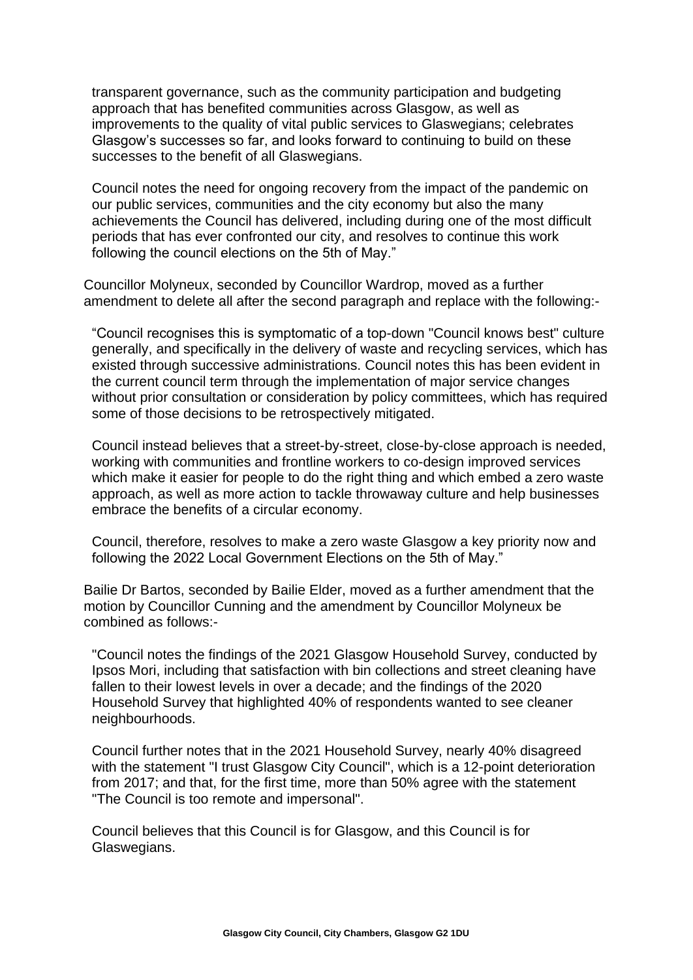transparent governance, such as the community participation and budgeting approach that has benefited communities across Glasgow, as well as improvements to the quality of vital public services to Glaswegians; celebrates Glasgow's successes so far, and looks forward to continuing to build on these successes to the benefit of all Glaswegians.

Council notes the need for ongoing recovery from the impact of the pandemic on our public services, communities and the city economy but also the many achievements the Council has delivered, including during one of the most difficult periods that has ever confronted our city, and resolves to continue this work following the council elections on the 5th of May."

Councillor Molyneux, seconded by Councillor Wardrop, moved as a further amendment to delete all after the second paragraph and replace with the following:-

"Council recognises this is symptomatic of a top-down "Council knows best" culture generally, and specifically in the delivery of waste and recycling services, which has existed through successive administrations. Council notes this has been evident in the current council term through the implementation of major service changes without prior consultation or consideration by policy committees, which has required some of those decisions to be retrospectively mitigated.

Council instead believes that a street-by-street, close-by-close approach is needed, working with communities and frontline workers to co-design improved services which make it easier for people to do the right thing and which embed a zero waste approach, as well as more action to tackle throwaway culture and help businesses embrace the benefits of a circular economy.

Council, therefore, resolves to make a zero waste Glasgow a key priority now and following the 2022 Local Government Elections on the 5th of May."

Bailie Dr Bartos, seconded by Bailie Elder, moved as a further amendment that the motion by Councillor Cunning and the amendment by Councillor Molyneux be combined as follows:-

"Council notes the findings of the 2021 Glasgow Household Survey, conducted by Ipsos Mori, including that satisfaction with bin collections and street cleaning have fallen to their lowest levels in over a decade; and the findings of the 2020 Household Survey that highlighted 40% of respondents wanted to see cleaner neighbourhoods.

Council further notes that in the 2021 Household Survey, nearly 40% disagreed with the statement "I trust Glasgow City Council", which is a 12-point deterioration from 2017; and that, for the first time, more than 50% agree with the statement "The Council is too remote and impersonal".

Council believes that this Council is for Glasgow, and this Council is for Glaswegians.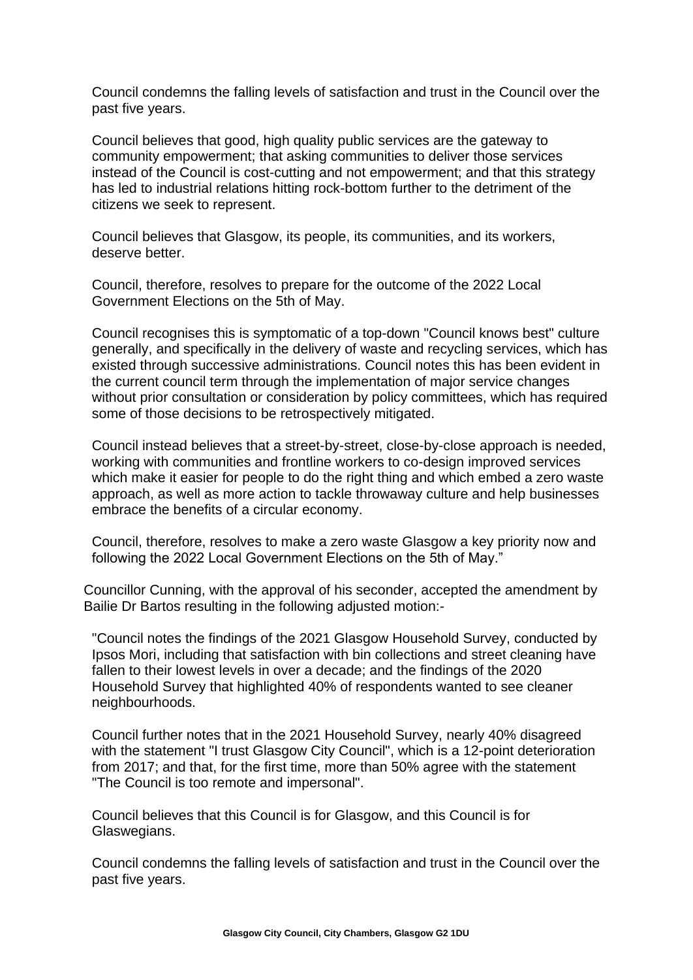Council condemns the falling levels of satisfaction and trust in the Council over the past five years.

Council believes that good, high quality public services are the gateway to community empowerment; that asking communities to deliver those services instead of the Council is cost-cutting and not empowerment; and that this strategy has led to industrial relations hitting rock-bottom further to the detriment of the citizens we seek to represent.

Council believes that Glasgow, its people, its communities, and its workers, deserve better.

Council, therefore, resolves to prepare for the outcome of the 2022 Local Government Elections on the 5th of May.

Council recognises this is symptomatic of a top-down "Council knows best" culture generally, and specifically in the delivery of waste and recycling services, which has existed through successive administrations. Council notes this has been evident in the current council term through the implementation of major service changes without prior consultation or consideration by policy committees, which has required some of those decisions to be retrospectively mitigated.

Council instead believes that a street-by-street, close-by-close approach is needed, working with communities and frontline workers to co-design improved services which make it easier for people to do the right thing and which embed a zero waste approach, as well as more action to tackle throwaway culture and help businesses embrace the benefits of a circular economy.

Council, therefore, resolves to make a zero waste Glasgow a key priority now and following the 2022 Local Government Elections on the 5th of May."

Councillor Cunning, with the approval of his seconder, accepted the amendment by Bailie Dr Bartos resulting in the following adjusted motion:-

"Council notes the findings of the 2021 Glasgow Household Survey, conducted by Ipsos Mori, including that satisfaction with bin collections and street cleaning have fallen to their lowest levels in over a decade; and the findings of the 2020 Household Survey that highlighted 40% of respondents wanted to see cleaner neighbourhoods.

Council further notes that in the 2021 Household Survey, nearly 40% disagreed with the statement "I trust Glasgow City Council", which is a 12-point deterioration from 2017; and that, for the first time, more than 50% agree with the statement "The Council is too remote and impersonal".

Council believes that this Council is for Glasgow, and this Council is for Glaswegians.

Council condemns the falling levels of satisfaction and trust in the Council over the past five years.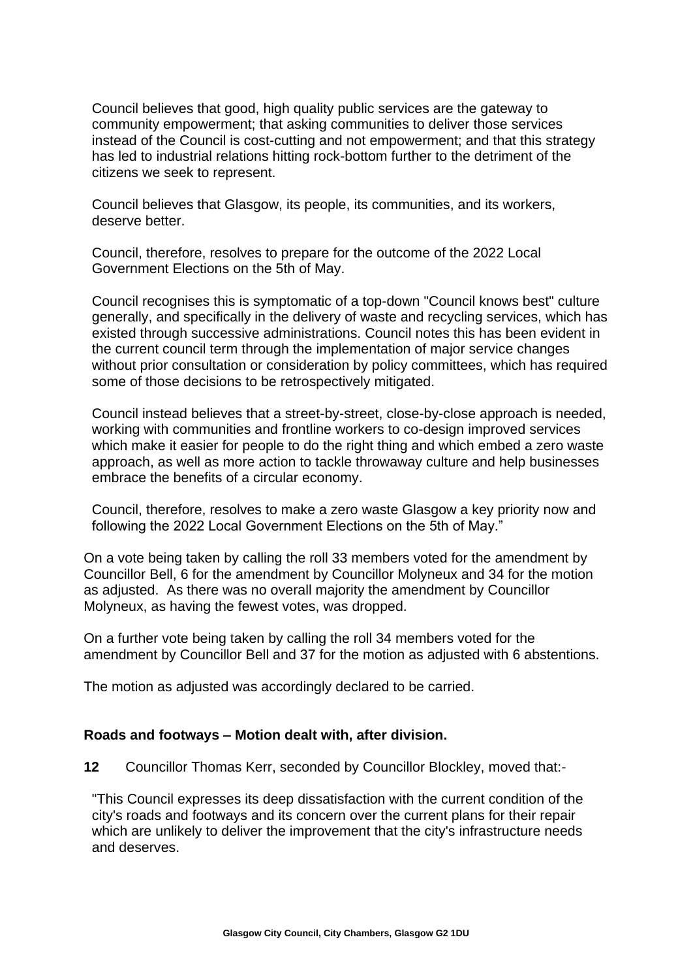Council believes that good, high quality public services are the gateway to community empowerment; that asking communities to deliver those services instead of the Council is cost-cutting and not empowerment; and that this strategy has led to industrial relations hitting rock-bottom further to the detriment of the citizens we seek to represent.

Council believes that Glasgow, its people, its communities, and its workers, deserve better.

Council, therefore, resolves to prepare for the outcome of the 2022 Local Government Elections on the 5th of May.

Council recognises this is symptomatic of a top-down "Council knows best" culture generally, and specifically in the delivery of waste and recycling services, which has existed through successive administrations. Council notes this has been evident in the current council term through the implementation of major service changes without prior consultation or consideration by policy committees, which has required some of those decisions to be retrospectively mitigated.

Council instead believes that a street-by-street, close-by-close approach is needed, working with communities and frontline workers to co-design improved services which make it easier for people to do the right thing and which embed a zero waste approach, as well as more action to tackle throwaway culture and help businesses embrace the benefits of a circular economy.

Council, therefore, resolves to make a zero waste Glasgow a key priority now and following the 2022 Local Government Elections on the 5th of May."

On a vote being taken by calling the roll 33 members voted for the amendment by Councillor Bell, 6 for the amendment by Councillor Molyneux and 34 for the motion as adjusted. As there was no overall majority the amendment by Councillor Molyneux, as having the fewest votes, was dropped.

On a further vote being taken by calling the roll 34 members voted for the amendment by Councillor Bell and 37 for the motion as adjusted with 6 abstentions.

The motion as adjusted was accordingly declared to be carried.

### **Roads and footways – Motion dealt with, after division.**

**12** Councillor Thomas Kerr, seconded by Councillor Blockley, moved that:-

"This Council expresses its deep dissatisfaction with the current condition of the city's roads and footways and its concern over the current plans for their repair which are unlikely to deliver the improvement that the city's infrastructure needs and deserves.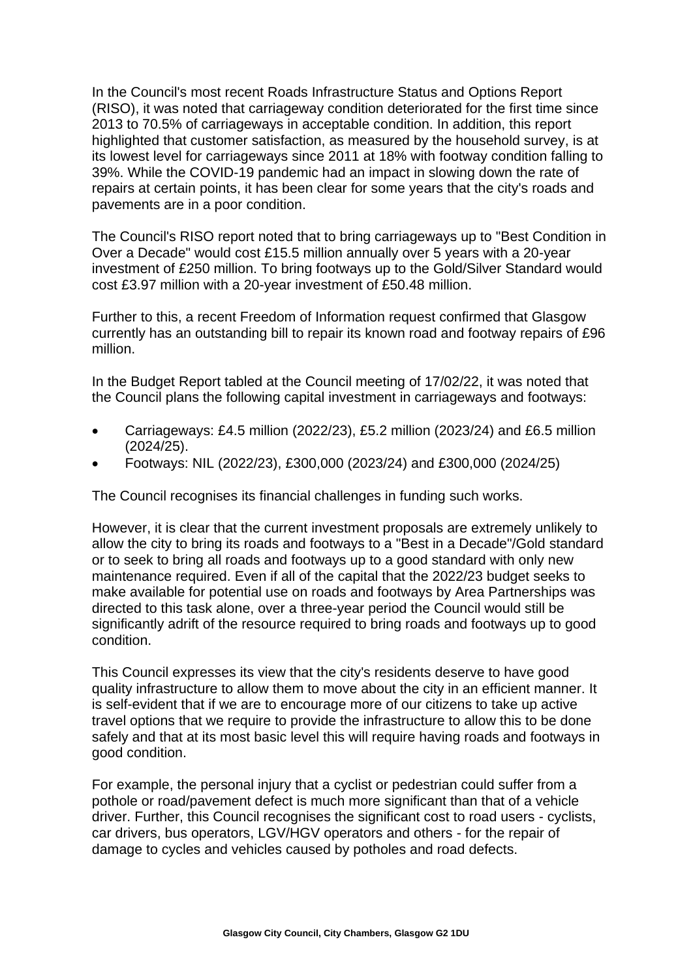In the Council's most recent Roads Infrastructure Status and Options Report (RISO), it was noted that carriageway condition deteriorated for the first time since 2013 to 70.5% of carriageways in acceptable condition. In addition, this report highlighted that customer satisfaction, as measured by the household survey, is at its lowest level for carriageways since 2011 at 18% with footway condition falling to 39%. While the COVID-19 pandemic had an impact in slowing down the rate of repairs at certain points, it has been clear for some years that the city's roads and pavements are in a poor condition.

The Council's RISO report noted that to bring carriageways up to "Best Condition in Over a Decade" would cost £15.5 million annually over 5 years with a 20-year investment of £250 million. To bring footways up to the Gold/Silver Standard would cost £3.97 million with a 20-year investment of £50.48 million.

Further to this, a recent Freedom of Information request confirmed that Glasgow currently has an outstanding bill to repair its known road and footway repairs of £96 million.

In the Budget Report tabled at the Council meeting of 17/02/22, it was noted that the Council plans the following capital investment in carriageways and footways:

- Carriageways: £4.5 million (2022/23), £5.2 million (2023/24) and £6.5 million (2024/25).
- Footways: NIL (2022/23), £300,000 (2023/24) and £300,000 (2024/25)

The Council recognises its financial challenges in funding such works.

However, it is clear that the current investment proposals are extremely unlikely to allow the city to bring its roads and footways to a "Best in a Decade"/Gold standard or to seek to bring all roads and footways up to a good standard with only new maintenance required. Even if all of the capital that the 2022/23 budget seeks to make available for potential use on roads and footways by Area Partnerships was directed to this task alone, over a three-year period the Council would still be significantly adrift of the resource required to bring roads and footways up to good condition.

This Council expresses its view that the city's residents deserve to have good quality infrastructure to allow them to move about the city in an efficient manner. It is self-evident that if we are to encourage more of our citizens to take up active travel options that we require to provide the infrastructure to allow this to be done safely and that at its most basic level this will require having roads and footways in good condition.

For example, the personal injury that a cyclist or pedestrian could suffer from a pothole or road/pavement defect is much more significant than that of a vehicle driver. Further, this Council recognises the significant cost to road users - cyclists, car drivers, bus operators, LGV/HGV operators and others - for the repair of damage to cycles and vehicles caused by potholes and road defects.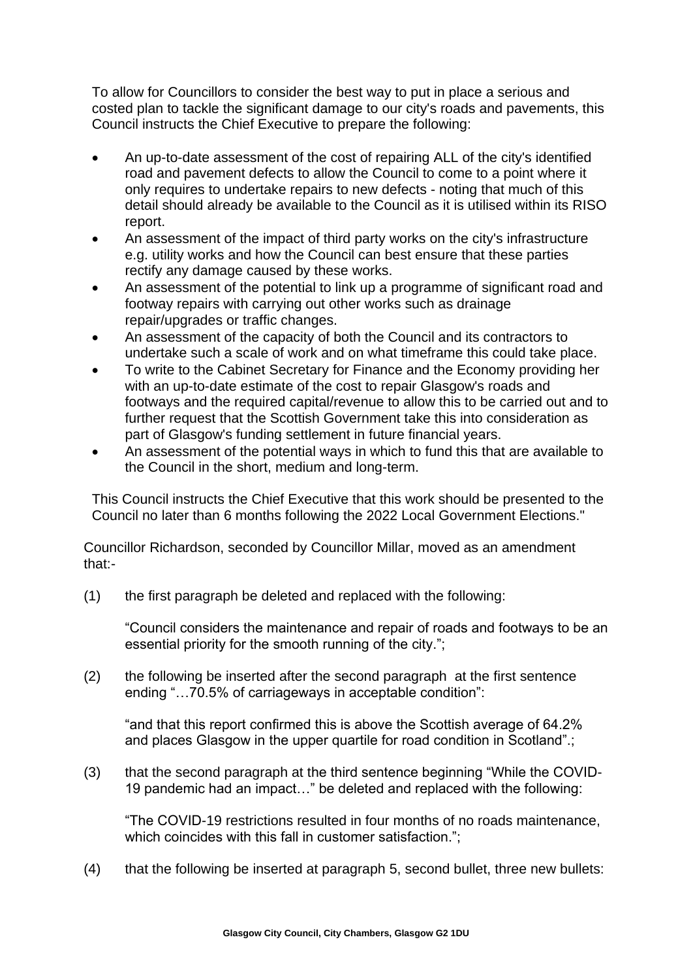To allow for Councillors to consider the best way to put in place a serious and costed plan to tackle the significant damage to our city's roads and pavements, this Council instructs the Chief Executive to prepare the following:

- An up-to-date assessment of the cost of repairing ALL of the city's identified road and pavement defects to allow the Council to come to a point where it only requires to undertake repairs to new defects - noting that much of this detail should already be available to the Council as it is utilised within its RISO report.
- An assessment of the impact of third party works on the city's infrastructure e.g. utility works and how the Council can best ensure that these parties rectify any damage caused by these works.
- An assessment of the potential to link up a programme of significant road and footway repairs with carrying out other works such as drainage repair/upgrades or traffic changes.
- An assessment of the capacity of both the Council and its contractors to undertake such a scale of work and on what timeframe this could take place.
- To write to the Cabinet Secretary for Finance and the Economy providing her with an up-to-date estimate of the cost to repair Glasgow's roads and footways and the required capital/revenue to allow this to be carried out and to further request that the Scottish Government take this into consideration as part of Glasgow's funding settlement in future financial years.
- An assessment of the potential ways in which to fund this that are available to the Council in the short, medium and long-term.

This Council instructs the Chief Executive that this work should be presented to the Council no later than 6 months following the 2022 Local Government Elections."

Councillor Richardson, seconded by Councillor Millar, moved as an amendment that:-

(1) the first paragraph be deleted and replaced with the following:

"Council considers the maintenance and repair of roads and footways to be an essential priority for the smooth running of the city.";

(2) the following be inserted after the second paragraph at the first sentence ending "…70.5% of carriageways in acceptable condition":

"and that this report confirmed this is above the Scottish average of 64.2% and places Glasgow in the upper quartile for road condition in Scotland".;

(3) that the second paragraph at the third sentence beginning "While the COVID-19 pandemic had an impact…" be deleted and replaced with the following:

"The COVID-19 restrictions resulted in four months of no roads maintenance, which coincides with this fall in customer satisfaction.";

(4) that the following be inserted at paragraph 5, second bullet, three new bullets: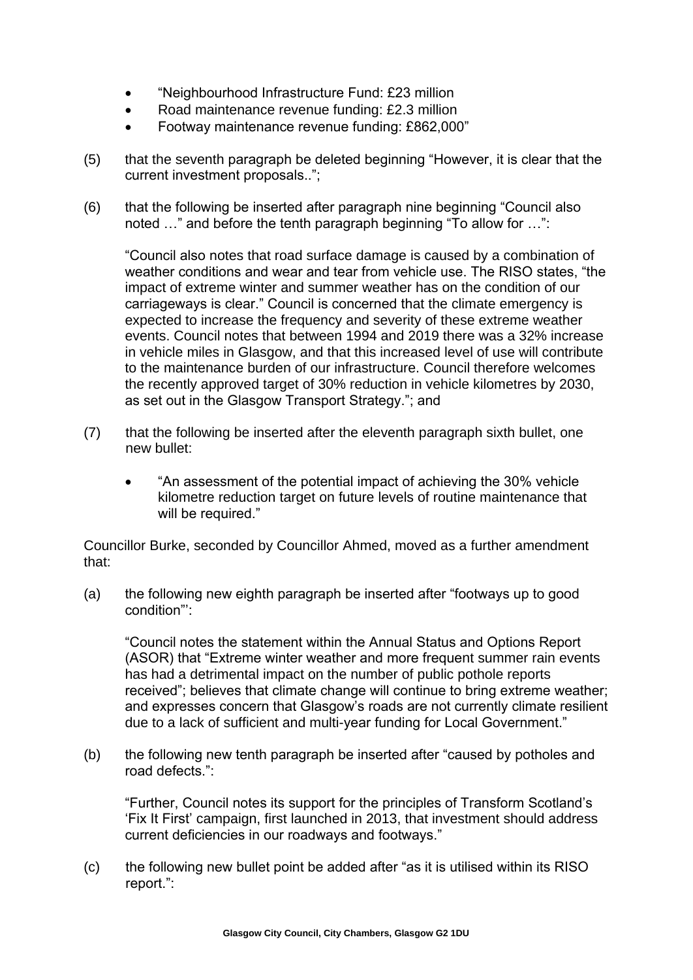- "Neighbourhood Infrastructure Fund: £23 million
- Road maintenance revenue funding: £2.3 million
- Footway maintenance revenue funding: £862,000"
- (5) that the seventh paragraph be deleted beginning "However, it is clear that the current investment proposals..";
- (6) that the following be inserted after paragraph nine beginning "Council also noted …" and before the tenth paragraph beginning "To allow for …":

"Council also notes that road surface damage is caused by a combination of weather conditions and wear and tear from vehicle use. The RISO states, "the impact of extreme winter and summer weather has on the condition of our carriageways is clear." Council is concerned that the climate emergency is expected to increase the frequency and severity of these extreme weather events. Council notes that between 1994 and 2019 there was a 32% increase in vehicle miles in Glasgow, and that this increased level of use will contribute to the maintenance burden of our infrastructure. Council therefore welcomes the recently approved target of 30% reduction in vehicle kilometres by 2030, as set out in the Glasgow Transport Strategy."; and

- (7) that the following be inserted after the eleventh paragraph sixth bullet, one new bullet:
	- "An assessment of the potential impact of achieving the 30% vehicle kilometre reduction target on future levels of routine maintenance that will be required."

Councillor Burke, seconded by Councillor Ahmed, moved as a further amendment that:

(a) the following new eighth paragraph be inserted after "footways up to good condition"':

"Council notes the statement within the Annual Status and Options Report (ASOR) that "Extreme winter weather and more frequent summer rain events has had a detrimental impact on the number of public pothole reports received"; believes that climate change will continue to bring extreme weather; and expresses concern that Glasgow's roads are not currently climate resilient due to a lack of sufficient and multi-year funding for Local Government."

(b) the following new tenth paragraph be inserted after "caused by potholes and road defects.":

"Further, Council notes its support for the principles of Transform Scotland's 'Fix It First' campaign, first launched in 2013, that investment should address current deficiencies in our roadways and footways."

(c) the following new bullet point be added after "as it is utilised within its RISO report.":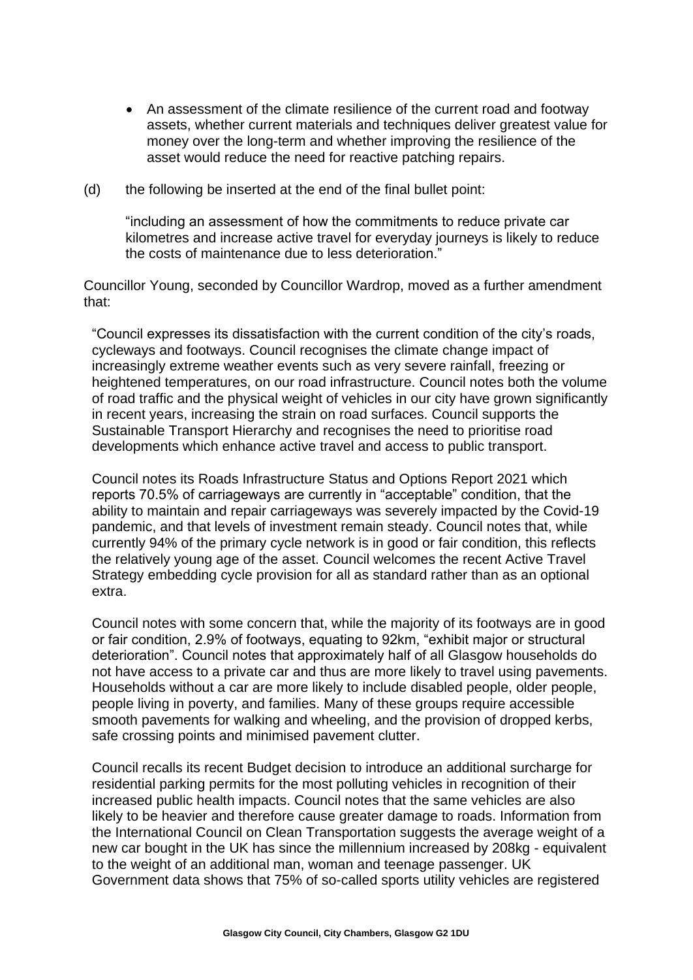- An assessment of the climate resilience of the current road and footway assets, whether current materials and techniques deliver greatest value for money over the long-term and whether improving the resilience of the asset would reduce the need for reactive patching repairs.
- (d) the following be inserted at the end of the final bullet point:

"including an assessment of how the commitments to reduce private car kilometres and increase active travel for everyday journeys is likely to reduce the costs of maintenance due to less deterioration."

Councillor Young, seconded by Councillor Wardrop, moved as a further amendment that:

"Council expresses its dissatisfaction with the current condition of the city's roads, cycleways and footways. Council recognises the climate change impact of increasingly extreme weather events such as very severe rainfall, freezing or heightened temperatures, on our road infrastructure. Council notes both the volume of road traffic and the physical weight of vehicles in our city have grown significantly in recent years, increasing the strain on road surfaces. Council supports the Sustainable Transport Hierarchy and recognises the need to prioritise road developments which enhance active travel and access to public transport.

Council notes its Roads Infrastructure Status and Options Report 2021 which reports 70.5% of carriageways are currently in "acceptable" condition, that the ability to maintain and repair carriageways was severely impacted by the Covid-19 pandemic, and that levels of investment remain steady. Council notes that, while currently 94% of the primary cycle network is in good or fair condition, this reflects the relatively young age of the asset. Council welcomes the recent Active Travel Strategy embedding cycle provision for all as standard rather than as an optional extra.

Council notes with some concern that, while the majority of its footways are in good or fair condition, 2.9% of footways, equating to 92km, "exhibit major or structural deterioration". Council notes that approximately half of all Glasgow households do not have access to a private car and thus are more likely to travel using pavements. Households without a car are more likely to include disabled people, older people, people living in poverty, and families. Many of these groups require accessible smooth pavements for walking and wheeling, and the provision of dropped kerbs, safe crossing points and minimised pavement clutter.

Council recalls its recent Budget decision to introduce an additional surcharge for residential parking permits for the most polluting vehicles in recognition of their increased public health impacts. Council notes that the same vehicles are also likely to be heavier and therefore cause greater damage to roads. Information from the International Council on Clean Transportation suggests the average weight of a new car bought in the UK has since the millennium increased by 208kg - equivalent to the weight of an additional man, woman and teenage passenger. UK Government data shows that 75% of so-called sports utility vehicles are registered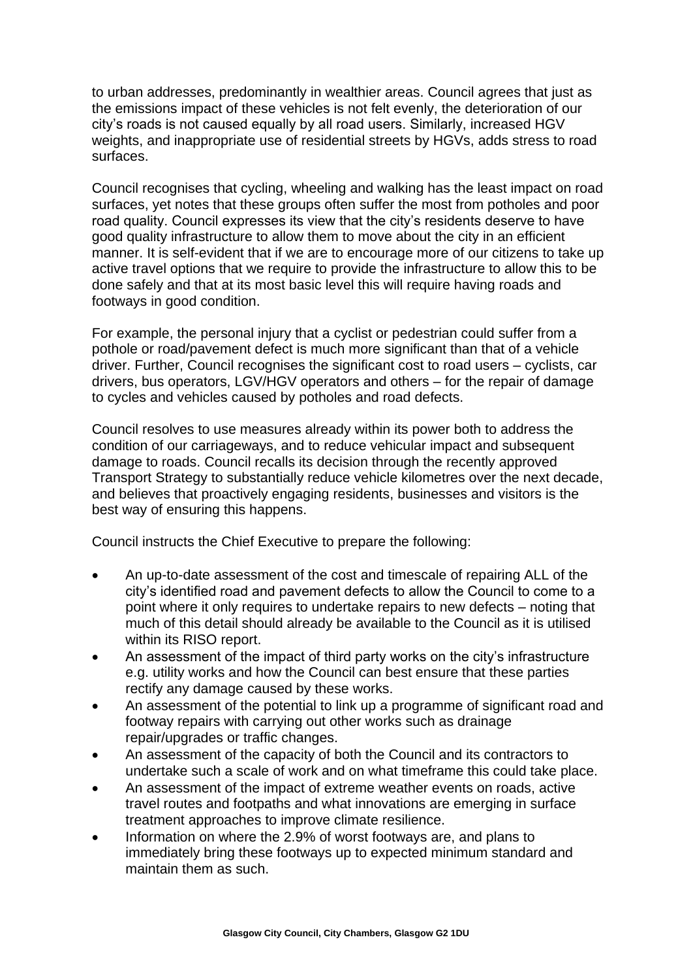to urban addresses, predominantly in wealthier areas. Council agrees that just as the emissions impact of these vehicles is not felt evenly, the deterioration of our city's roads is not caused equally by all road users. Similarly, increased HGV weights, and inappropriate use of residential streets by HGVs, adds stress to road surfaces.

Council recognises that cycling, wheeling and walking has the least impact on road surfaces, yet notes that these groups often suffer the most from potholes and poor road quality. Council expresses its view that the city's residents deserve to have good quality infrastructure to allow them to move about the city in an efficient manner. It is self-evident that if we are to encourage more of our citizens to take up active travel options that we require to provide the infrastructure to allow this to be done safely and that at its most basic level this will require having roads and footways in good condition.

For example, the personal injury that a cyclist or pedestrian could suffer from a pothole or road/pavement defect is much more significant than that of a vehicle driver. Further, Council recognises the significant cost to road users – cyclists, car drivers, bus operators, LGV/HGV operators and others – for the repair of damage to cycles and vehicles caused by potholes and road defects.

Council resolves to use measures already within its power both to address the condition of our carriageways, and to reduce vehicular impact and subsequent damage to roads. Council recalls its decision through the recently approved Transport Strategy to substantially reduce vehicle kilometres over the next decade, and believes that proactively engaging residents, businesses and visitors is the best way of ensuring this happens.

Council instructs the Chief Executive to prepare the following:

- An up-to-date assessment of the cost and timescale of repairing ALL of the city's identified road and pavement defects to allow the Council to come to a point where it only requires to undertake repairs to new defects – noting that much of this detail should already be available to the Council as it is utilised within its RISO report.
- An assessment of the impact of third party works on the city's infrastructure e.g. utility works and how the Council can best ensure that these parties rectify any damage caused by these works.
- An assessment of the potential to link up a programme of significant road and footway repairs with carrying out other works such as drainage repair/upgrades or traffic changes.
- An assessment of the capacity of both the Council and its contractors to undertake such a scale of work and on what timeframe this could take place.
- An assessment of the impact of extreme weather events on roads, active travel routes and footpaths and what innovations are emerging in surface treatment approaches to improve climate resilience.
- Information on where the 2.9% of worst footways are, and plans to immediately bring these footways up to expected minimum standard and maintain them as such.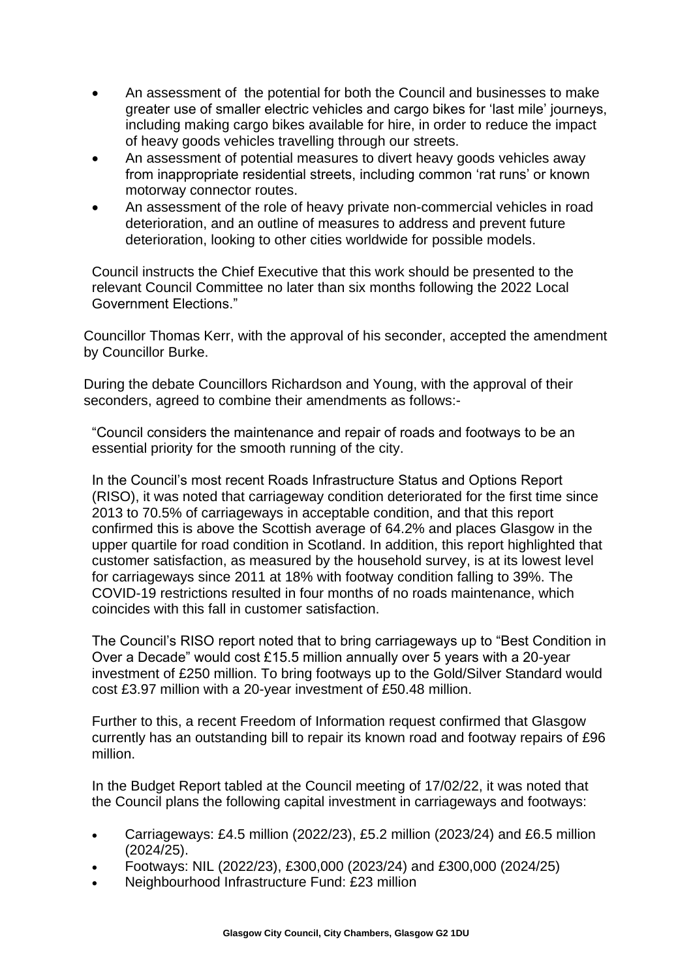- An assessment of the potential for both the Council and businesses to make greater use of smaller electric vehicles and cargo bikes for 'last mile' journeys, including making cargo bikes available for hire, in order to reduce the impact of heavy goods vehicles travelling through our streets.
- An assessment of potential measures to divert heavy goods vehicles away from inappropriate residential streets, including common 'rat runs' or known motorway connector routes.
- An assessment of the role of heavy private non-commercial vehicles in road deterioration, and an outline of measures to address and prevent future deterioration, looking to other cities worldwide for possible models.

Council instructs the Chief Executive that this work should be presented to the relevant Council Committee no later than six months following the 2022 Local Government Elections."

Councillor Thomas Kerr, with the approval of his seconder, accepted the amendment by Councillor Burke.

During the debate Councillors Richardson and Young, with the approval of their seconders, agreed to combine their amendments as follows:-

"Council considers the maintenance and repair of roads and footways to be an essential priority for the smooth running of the city.

In the Council's most recent Roads Infrastructure Status and Options Report (RISO), it was noted that carriageway condition deteriorated for the first time since 2013 to 70.5% of carriageways in acceptable condition, and that this report confirmed this is above the Scottish average of 64.2% and places Glasgow in the upper quartile for road condition in Scotland. In addition, this report highlighted that customer satisfaction, as measured by the household survey, is at its lowest level for carriageways since 2011 at 18% with footway condition falling to 39%. The COVID-19 restrictions resulted in four months of no roads maintenance, which coincides with this fall in customer satisfaction.

The Council's RISO report noted that to bring carriageways up to "Best Condition in Over a Decade" would cost £15.5 million annually over 5 years with a 20-year investment of £250 million. To bring footways up to the Gold/Silver Standard would cost £3.97 million with a 20-year investment of £50.48 million.

Further to this, a recent Freedom of Information request confirmed that Glasgow currently has an outstanding bill to repair its known road and footway repairs of £96 million.

In the Budget Report tabled at the Council meeting of 17/02/22, it was noted that the Council plans the following capital investment in carriageways and footways:

- Carriageways: £4.5 million (2022/23), £5.2 million (2023/24) and £6.5 million (2024/25).
- Footways: NIL (2022/23), £300,000 (2023/24) and £300,000 (2024/25)
- Neighbourhood Infrastructure Fund: £23 million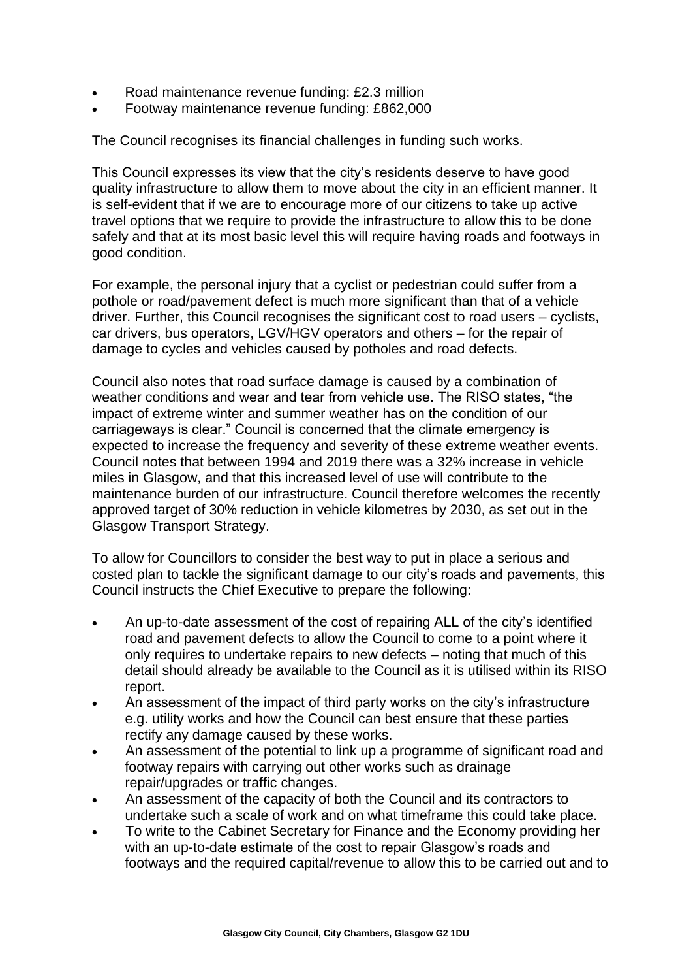- Road maintenance revenue funding: £2.3 million
- Footway maintenance revenue funding: £862,000

The Council recognises its financial challenges in funding such works.

This Council expresses its view that the city's residents deserve to have good quality infrastructure to allow them to move about the city in an efficient manner. It is self-evident that if we are to encourage more of our citizens to take up active travel options that we require to provide the infrastructure to allow this to be done safely and that at its most basic level this will require having roads and footways in good condition.

For example, the personal injury that a cyclist or pedestrian could suffer from a pothole or road/pavement defect is much more significant than that of a vehicle driver. Further, this Council recognises the significant cost to road users – cyclists, car drivers, bus operators, LGV/HGV operators and others – for the repair of damage to cycles and vehicles caused by potholes and road defects.

Council also notes that road surface damage is caused by a combination of weather conditions and wear and tear from vehicle use. The RISO states, "the impact of extreme winter and summer weather has on the condition of our carriageways is clear." Council is concerned that the climate emergency is expected to increase the frequency and severity of these extreme weather events. Council notes that between 1994 and 2019 there was a 32% increase in vehicle miles in Glasgow, and that this increased level of use will contribute to the maintenance burden of our infrastructure. Council therefore welcomes the recently approved target of 30% reduction in vehicle kilometres by 2030, as set out in the Glasgow Transport Strategy.

To allow for Councillors to consider the best way to put in place a serious and costed plan to tackle the significant damage to our city's roads and pavements, this Council instructs the Chief Executive to prepare the following:

- An up-to-date assessment of the cost of repairing ALL of the city's identified road and pavement defects to allow the Council to come to a point where it only requires to undertake repairs to new defects – noting that much of this detail should already be available to the Council as it is utilised within its RISO report.
- An assessment of the impact of third party works on the city's infrastructure e.g. utility works and how the Council can best ensure that these parties rectify any damage caused by these works.
- An assessment of the potential to link up a programme of significant road and footway repairs with carrying out other works such as drainage repair/upgrades or traffic changes.
- An assessment of the capacity of both the Council and its contractors to undertake such a scale of work and on what timeframe this could take place.
- To write to the Cabinet Secretary for Finance and the Economy providing her with an up-to-date estimate of the cost to repair Glasgow's roads and footways and the required capital/revenue to allow this to be carried out and to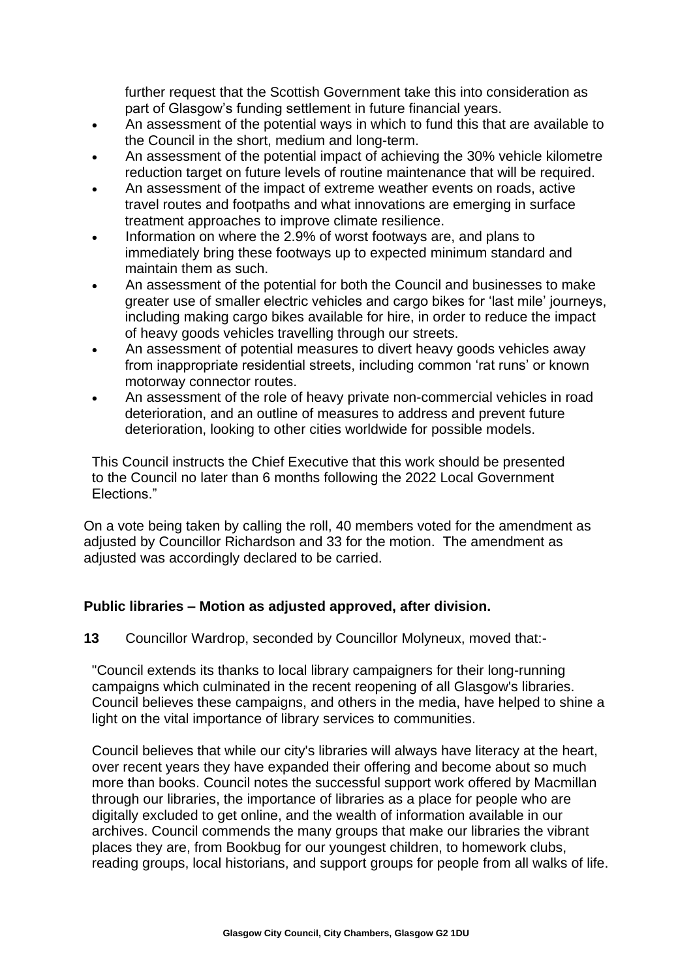further request that the Scottish Government take this into consideration as part of Glasgow's funding settlement in future financial years.

- An assessment of the potential ways in which to fund this that are available to the Council in the short, medium and long-term.
- An assessment of the potential impact of achieving the 30% vehicle kilometre reduction target on future levels of routine maintenance that will be required.
- An assessment of the impact of extreme weather events on roads, active travel routes and footpaths and what innovations are emerging in surface treatment approaches to improve climate resilience.
- Information on where the 2.9% of worst footways are, and plans to immediately bring these footways up to expected minimum standard and maintain them as such.
- An assessment of the potential for both the Council and businesses to make greater use of smaller electric vehicles and cargo bikes for 'last mile' journeys, including making cargo bikes available for hire, in order to reduce the impact of heavy goods vehicles travelling through our streets.
- An assessment of potential measures to divert heavy goods vehicles away from inappropriate residential streets, including common 'rat runs' or known motorway connector routes.
- An assessment of the role of heavy private non-commercial vehicles in road deterioration, and an outline of measures to address and prevent future deterioration, looking to other cities worldwide for possible models.

This Council instructs the Chief Executive that this work should be presented to the Council no later than 6 months following the 2022 Local Government Elections."

On a vote being taken by calling the roll, 40 members voted for the amendment as adjusted by Councillor Richardson and 33 for the motion. The amendment as adjusted was accordingly declared to be carried.

## **Public libraries – Motion as adjusted approved, after division.**

**13** Councillor Wardrop, seconded by Councillor Molyneux, moved that:-

"Council extends its thanks to local library campaigners for their long-running campaigns which culminated in the recent reopening of all Glasgow's libraries. Council believes these campaigns, and others in the media, have helped to shine a light on the vital importance of library services to communities.

Council believes that while our city's libraries will always have literacy at the heart, over recent years they have expanded their offering and become about so much more than books. Council notes the successful support work offered by Macmillan through our libraries, the importance of libraries as a place for people who are digitally excluded to get online, and the wealth of information available in our archives. Council commends the many groups that make our libraries the vibrant places they are, from Bookbug for our youngest children, to homework clubs, reading groups, local historians, and support groups for people from all walks of life.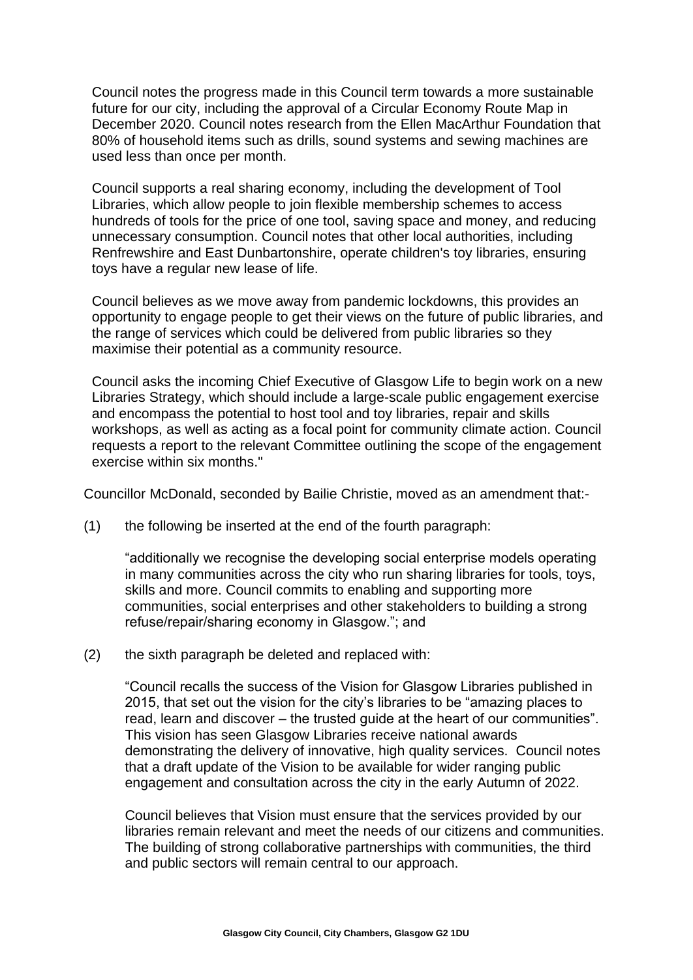Council notes the progress made in this Council term towards a more sustainable future for our city, including the approval of a Circular Economy Route Map in December 2020. Council notes research from the Ellen MacArthur Foundation that 80% of household items such as drills, sound systems and sewing machines are used less than once per month.

Council supports a real sharing economy, including the development of Tool Libraries, which allow people to join flexible membership schemes to access hundreds of tools for the price of one tool, saving space and money, and reducing unnecessary consumption. Council notes that other local authorities, including Renfrewshire and East Dunbartonshire, operate children's toy libraries, ensuring toys have a regular new lease of life.

Council believes as we move away from pandemic lockdowns, this provides an opportunity to engage people to get their views on the future of public libraries, and the range of services which could be delivered from public libraries so they maximise their potential as a community resource.

Council asks the incoming Chief Executive of Glasgow Life to begin work on a new Libraries Strategy, which should include a large-scale public engagement exercise and encompass the potential to host tool and toy libraries, repair and skills workshops, as well as acting as a focal point for community climate action. Council requests a report to the relevant Committee outlining the scope of the engagement exercise within six months."

Councillor McDonald, seconded by Bailie Christie, moved as an amendment that:-

(1) the following be inserted at the end of the fourth paragraph:

"additionally we recognise the developing social enterprise models operating in many communities across the city who run sharing libraries for tools, toys, skills and more. Council commits to enabling and supporting more communities, social enterprises and other stakeholders to building a strong refuse/repair/sharing economy in Glasgow."; and

(2) the sixth paragraph be deleted and replaced with:

"Council recalls the success of the Vision for Glasgow Libraries published in 2015, that set out the vision for the city's libraries to be "amazing places to read, learn and discover – the trusted guide at the heart of our communities". This vision has seen Glasgow Libraries receive national awards demonstrating the delivery of innovative, high quality services. Council notes that a draft update of the Vision to be available for wider ranging public engagement and consultation across the city in the early Autumn of 2022.

Council believes that Vision must ensure that the services provided by our libraries remain relevant and meet the needs of our citizens and communities. The building of strong collaborative partnerships with communities, the third and public sectors will remain central to our approach.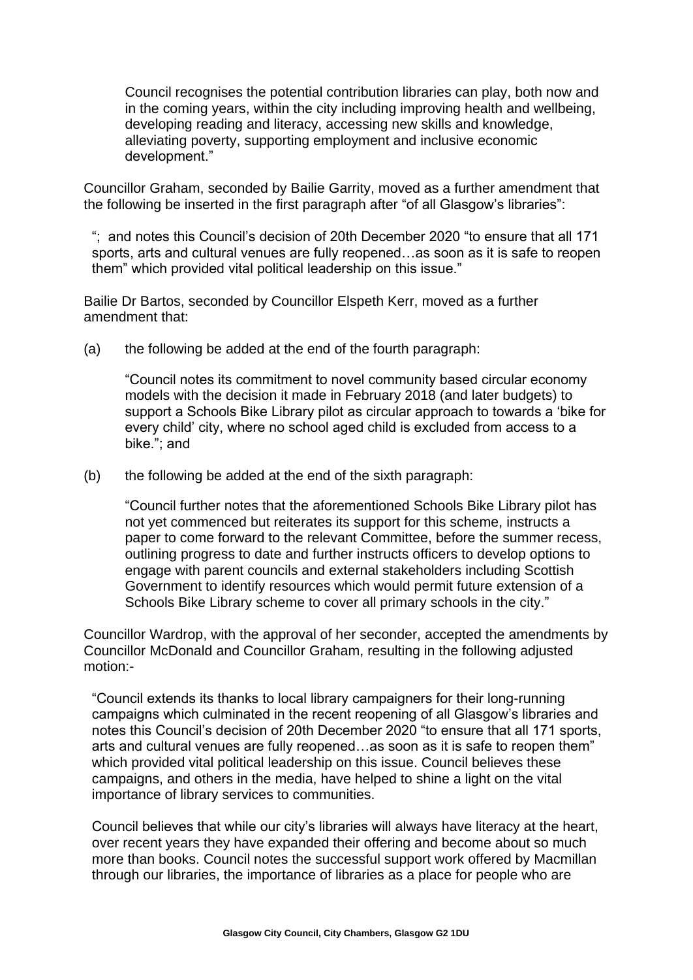Council recognises the potential contribution libraries can play, both now and in the coming years, within the city including improving health and wellbeing, developing reading and literacy, accessing new skills and knowledge, alleviating poverty, supporting employment and inclusive economic development."

Councillor Graham, seconded by Bailie Garrity, moved as a further amendment that the following be inserted in the first paragraph after "of all Glasgow's libraries":

"; and notes this Council's decision of 20th December 2020 "to ensure that all 171 sports, arts and cultural venues are fully reopened…as soon as it is safe to reopen them" which provided vital political leadership on this issue."

Bailie Dr Bartos, seconded by Councillor Elspeth Kerr, moved as a further amendment that:

(a) the following be added at the end of the fourth paragraph:

"Council notes its commitment to novel community based circular economy models with the decision it made in February 2018 (and later budgets) to support a Schools Bike Library pilot as circular approach to towards a 'bike for every child' city, where no school aged child is excluded from access to a bike."; and

(b) the following be added at the end of the sixth paragraph:

"Council further notes that the aforementioned Schools Bike Library pilot has not yet commenced but reiterates its support for this scheme, instructs a paper to come forward to the relevant Committee, before the summer recess, outlining progress to date and further instructs officers to develop options to engage with parent councils and external stakeholders including Scottish Government to identify resources which would permit future extension of a Schools Bike Library scheme to cover all primary schools in the city."

Councillor Wardrop, with the approval of her seconder, accepted the amendments by Councillor McDonald and Councillor Graham, resulting in the following adjusted motion:-

"Council extends its thanks to local library campaigners for their long-running campaigns which culminated in the recent reopening of all Glasgow's libraries and notes this Council's decision of 20th December 2020 "to ensure that all 171 sports, arts and cultural venues are fully reopened…as soon as it is safe to reopen them" which provided vital political leadership on this issue. Council believes these campaigns, and others in the media, have helped to shine a light on the vital importance of library services to communities.

Council believes that while our city's libraries will always have literacy at the heart, over recent years they have expanded their offering and become about so much more than books. Council notes the successful support work offered by Macmillan through our libraries, the importance of libraries as a place for people who are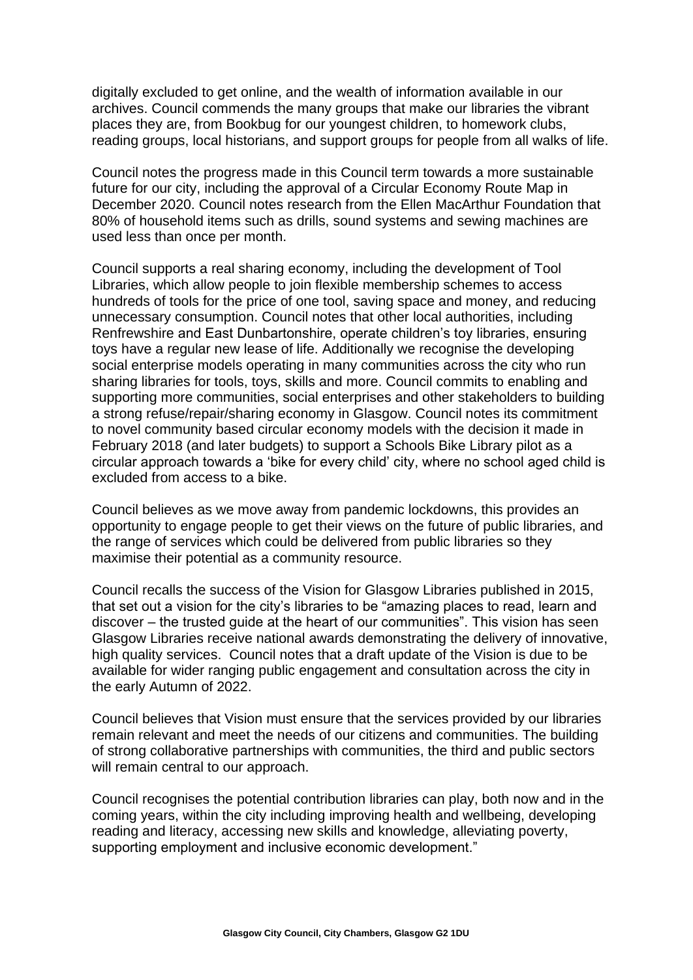digitally excluded to get online, and the wealth of information available in our archives. Council commends the many groups that make our libraries the vibrant places they are, from Bookbug for our youngest children, to homework clubs, reading groups, local historians, and support groups for people from all walks of life.

Council notes the progress made in this Council term towards a more sustainable future for our city, including the approval of a Circular Economy Route Map in December 2020. Council notes research from the Ellen MacArthur Foundation that 80% of household items such as drills, sound systems and sewing machines are used less than once per month.

Council supports a real sharing economy, including the development of Tool Libraries, which allow people to join flexible membership schemes to access hundreds of tools for the price of one tool, saving space and money, and reducing unnecessary consumption. Council notes that other local authorities, including Renfrewshire and East Dunbartonshire, operate children's toy libraries, ensuring toys have a regular new lease of life. Additionally we recognise the developing social enterprise models operating in many communities across the city who run sharing libraries for tools, toys, skills and more. Council commits to enabling and supporting more communities, social enterprises and other stakeholders to building a strong refuse/repair/sharing economy in Glasgow. Council notes its commitment to novel community based circular economy models with the decision it made in February 2018 (and later budgets) to support a Schools Bike Library pilot as a circular approach towards a 'bike for every child' city, where no school aged child is excluded from access to a bike.

Council believes as we move away from pandemic lockdowns, this provides an opportunity to engage people to get their views on the future of public libraries, and the range of services which could be delivered from public libraries so they maximise their potential as a community resource.

Council recalls the success of the Vision for Glasgow Libraries published in 2015, that set out a vision for the city's libraries to be "amazing places to read, learn and discover – the trusted guide at the heart of our communities". This vision has seen Glasgow Libraries receive national awards demonstrating the delivery of innovative, high quality services. Council notes that a draft update of the Vision is due to be available for wider ranging public engagement and consultation across the city in the early Autumn of 2022.

Council believes that Vision must ensure that the services provided by our libraries remain relevant and meet the needs of our citizens and communities. The building of strong collaborative partnerships with communities, the third and public sectors will remain central to our approach.

Council recognises the potential contribution libraries can play, both now and in the coming years, within the city including improving health and wellbeing, developing reading and literacy, accessing new skills and knowledge, alleviating poverty, supporting employment and inclusive economic development."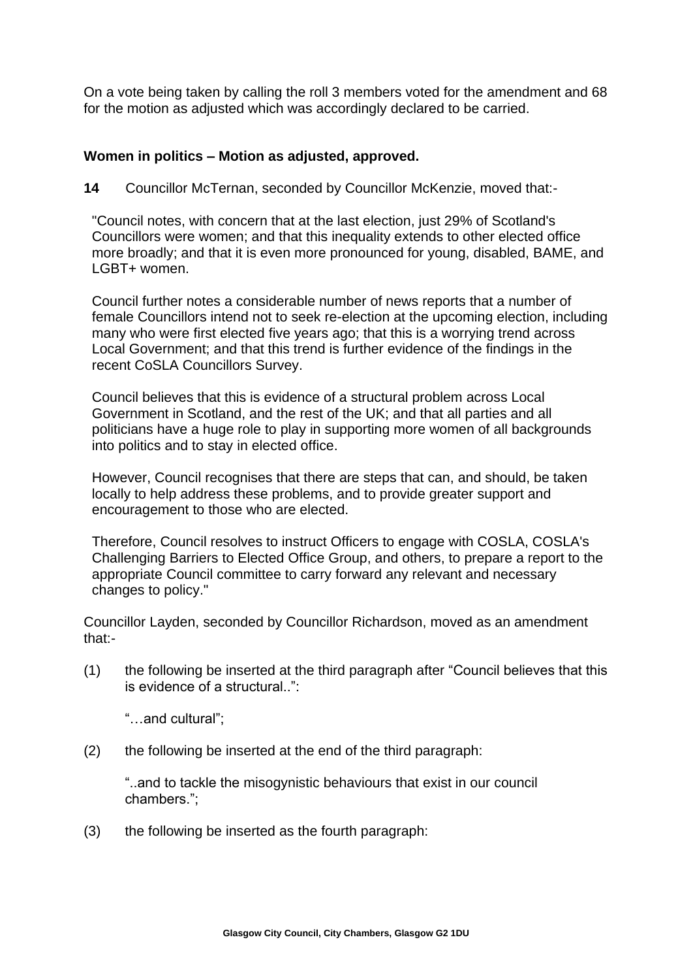On a vote being taken by calling the roll 3 members voted for the amendment and 68 for the motion as adjusted which was accordingly declared to be carried.

### **Women in politics – Motion as adjusted, approved.**

**14** Councillor McTernan, seconded by Councillor McKenzie, moved that:-

"Council notes, with concern that at the last election, just 29% of Scotland's Councillors were women; and that this inequality extends to other elected office more broadly; and that it is even more pronounced for young, disabled, BAME, and LGBT+ women.

Council further notes a considerable number of news reports that a number of female Councillors intend not to seek re-election at the upcoming election, including many who were first elected five years ago; that this is a worrying trend across Local Government; and that this trend is further evidence of the findings in the recent CoSLA Councillors Survey.

Council believes that this is evidence of a structural problem across Local Government in Scotland, and the rest of the UK; and that all parties and all politicians have a huge role to play in supporting more women of all backgrounds into politics and to stay in elected office.

However, Council recognises that there are steps that can, and should, be taken locally to help address these problems, and to provide greater support and encouragement to those who are elected.

Therefore, Council resolves to instruct Officers to engage with COSLA, COSLA's Challenging Barriers to Elected Office Group, and others, to prepare a report to the appropriate Council committee to carry forward any relevant and necessary changes to policy."

Councillor Layden, seconded by Councillor Richardson, moved as an amendment that:-

(1) the following be inserted at the third paragraph after "Council believes that this is evidence of a structural..":

"…and cultural";

(2) the following be inserted at the end of the third paragraph:

"..and to tackle the misogynistic behaviours that exist in our council chambers.";

(3) the following be inserted as the fourth paragraph: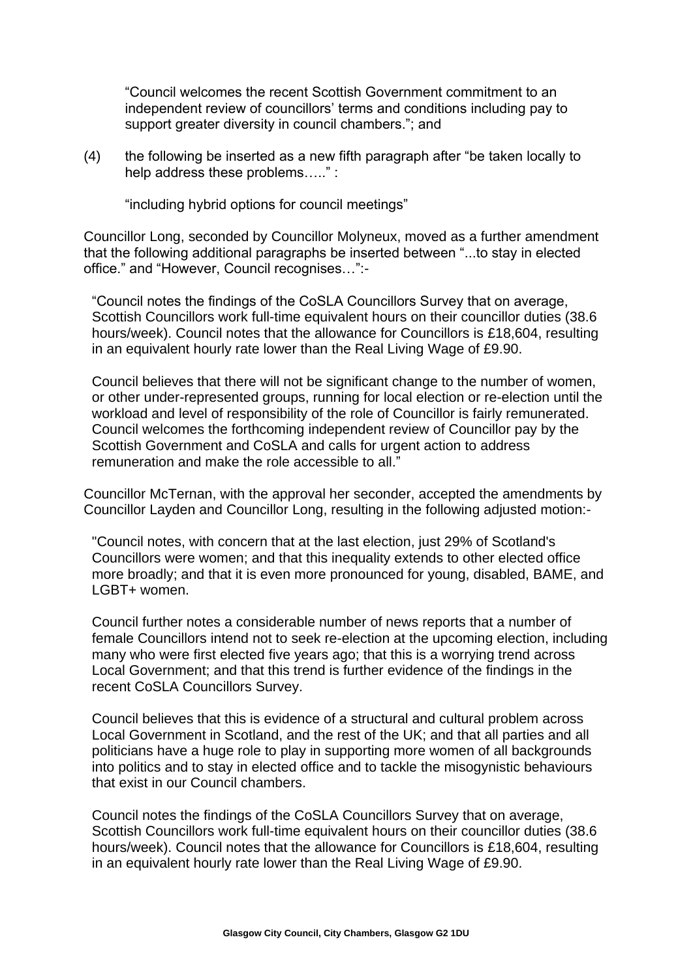"Council welcomes the recent Scottish Government commitment to an independent review of councillors' terms and conditions including pay to support greater diversity in council chambers."; and

(4) the following be inserted as a new fifth paragraph after "be taken locally to help address these problems….." :

"including hybrid options for council meetings"

Councillor Long, seconded by Councillor Molyneux, moved as a further amendment that the following additional paragraphs be inserted between "...to stay in elected office." and "However, Council recognises…":-

"Council notes the findings of the CoSLA Councillors Survey that on average, Scottish Councillors work full-time equivalent hours on their councillor duties (38.6 hours/week). Council notes that the allowance for Councillors is £18,604, resulting in an equivalent hourly rate lower than the Real Living Wage of £9.90.

Council believes that there will not be significant change to the number of women, or other under-represented groups, running for local election or re-election until the workload and level of responsibility of the role of Councillor is fairly remunerated. Council welcomes the forthcoming independent review of Councillor pay by the Scottish Government and CoSLA and calls for urgent action to address remuneration and make the role accessible to all."

Councillor McTernan, with the approval her seconder, accepted the amendments by Councillor Layden and Councillor Long, resulting in the following adjusted motion:-

"Council notes, with concern that at the last election, just 29% of Scotland's Councillors were women; and that this inequality extends to other elected office more broadly; and that it is even more pronounced for young, disabled, BAME, and LGBT+ women.

Council further notes a considerable number of news reports that a number of female Councillors intend not to seek re-election at the upcoming election, including many who were first elected five years ago; that this is a worrying trend across Local Government; and that this trend is further evidence of the findings in the recent CoSLA Councillors Survey.

Council believes that this is evidence of a structural and cultural problem across Local Government in Scotland, and the rest of the UK; and that all parties and all politicians have a huge role to play in supporting more women of all backgrounds into politics and to stay in elected office and to tackle the misogynistic behaviours that exist in our Council chambers.

Council notes the findings of the CoSLA Councillors Survey that on average, Scottish Councillors work full-time equivalent hours on their councillor duties (38.6 hours/week). Council notes that the allowance for Councillors is £18,604, resulting in an equivalent hourly rate lower than the Real Living Wage of £9.90.